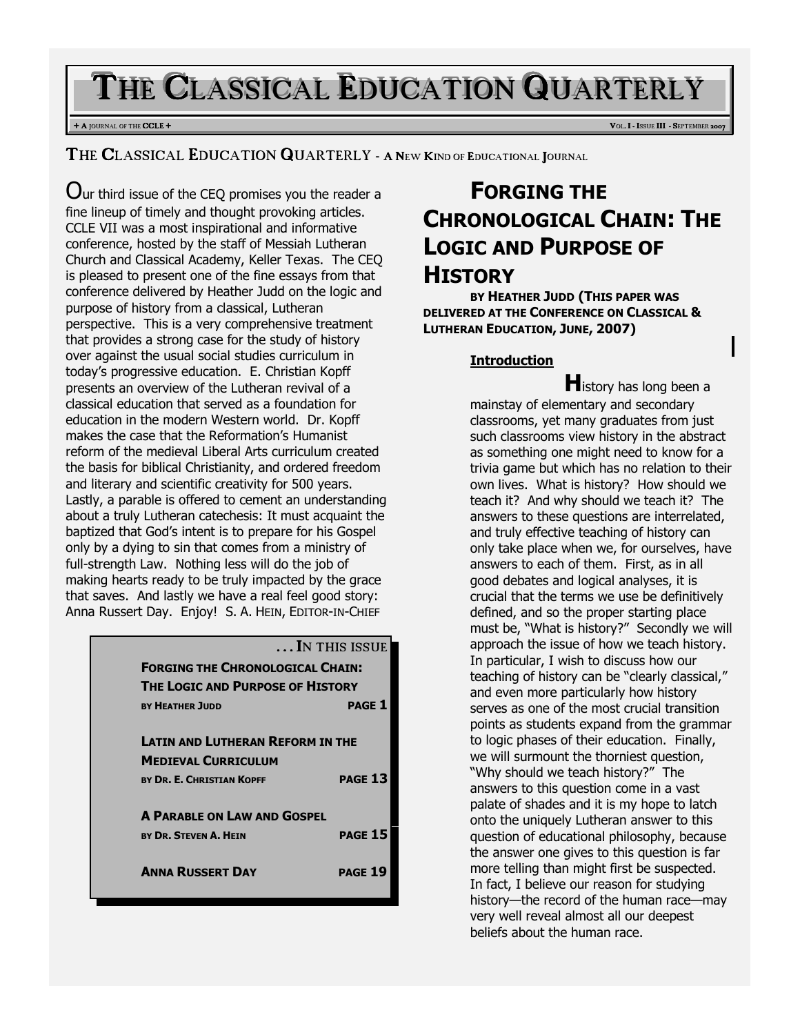THE CLASSICAL EDUCATION QUARTERLY

### + A JOURNAL OF THE CCLE + VOL. I - ISSUE III - SEPTEMBER 2007 A JOURNAL OF THE CCLE + VOL. I - ISSUE III - SEPTEMBER 2007

THE CLASSICAL EDUCATION QUARTERLY - A NEW KIND OF EDUCATIONAL JOURNAL

Our third issue of the CEQ promises you the reader a fine lineup of timely and thought provoking articles. CCLE VII was a most inspirational and informative conference, hosted by the staff of Messiah Lutheran Church and Classical Academy, Keller Texas. The CEQ is pleased to present one of the fine essays from that conference delivered by Heather Judd on the logic and purpose of history from a classical, Lutheran perspective. This is a very comprehensive treatment that provides a strong case for the study of history over against the usual social studies curriculum in today's progressive education. E. Christian Kopff presents an overview of the Lutheran revival of a classical education that served as a foundation for education in the modern Western world. Dr. Kopff makes the case that the Reformation's Humanist reform of the medieval Liberal Arts curriculum created the basis for biblical Christianity, and ordered freedom and literary and scientific creativity for 500 years. Lastly, a parable is offered to cement an understanding about a truly Lutheran catechesis: It must acquaint the baptized that God's intent is to prepare for his Gospel only by a dying to sin that comes from a ministry of full-strength Law. Nothing less will do the job of making hearts ready to be truly impacted by the grace that saves. And lastly we have a real feel good story: Anna Russert Day. Enjoy! S. A. HEIN, EDITOR-IN-CHIEF

|                                         | IN THIS ISSUE  |
|-----------------------------------------|----------------|
| <b>FORGING THE CHRONOLOGICAL CHAIN:</b> |                |
| THE LOGIC AND PURPOSE OF HISTORY        |                |
| <b>BY HEATHER JUDD</b>                  | <b>PAGE 1</b>  |
|                                         |                |
| <b>LATIN AND LUTHERAN REFORM IN THE</b> |                |
| <b>MEDIEVAL CURRICULUM</b>              |                |
| BY DR. E. CHRISTIAN KOPFF               | <b>PAGE 13</b> |
|                                         |                |
| <b>A PARABLE ON LAW AND GOSPEL</b>      |                |
| BY DR. STEVEN A. HEIN                   | <b>PAGE 15</b> |
|                                         |                |
| <b>ANNA RUSSERT DAY</b>                 | <b>PAGE 19</b> |
|                                         |                |

# FORGING THE CHRONOLOGICAL CHAIN: THE LOGIC AND PURPOSE OF **HISTORY**

BY HEATHER JUDD (THIS PAPER WAS DELIVERED AT THE CONFERENCE ON CLASSICAL & LUTHERAN EDUCATION, JUNE, 2007)

# **Introduction**

**H**istory has long been a mainstay of elementary and secondary classrooms, yet many graduates from just such classrooms view history in the abstract as something one might need to know for a trivia game but which has no relation to their own lives. What is history? How should we teach it? And why should we teach it? The answers to these questions are interrelated, and truly effective teaching of history can only take place when we, for ourselves, have answers to each of them. First, as in all good debates and logical analyses, it is crucial that the terms we use be definitively defined, and so the proper starting place must be, "What is history?" Secondly we will approach the issue of how we teach history. In particular, I wish to discuss how our teaching of history can be "clearly classical," and even more particularly how history serves as one of the most crucial transition points as students expand from the grammar to logic phases of their education. Finally, we will surmount the thorniest question, "Why should we teach history?" The answers to this question come in a vast palate of shades and it is my hope to latch onto the uniquely Lutheran answer to this question of educational philosophy, because the answer one gives to this question is far more telling than might first be suspected. In fact, I believe our reason for studying history—the record of the human race—may very well reveal almost all our deepest beliefs about the human race.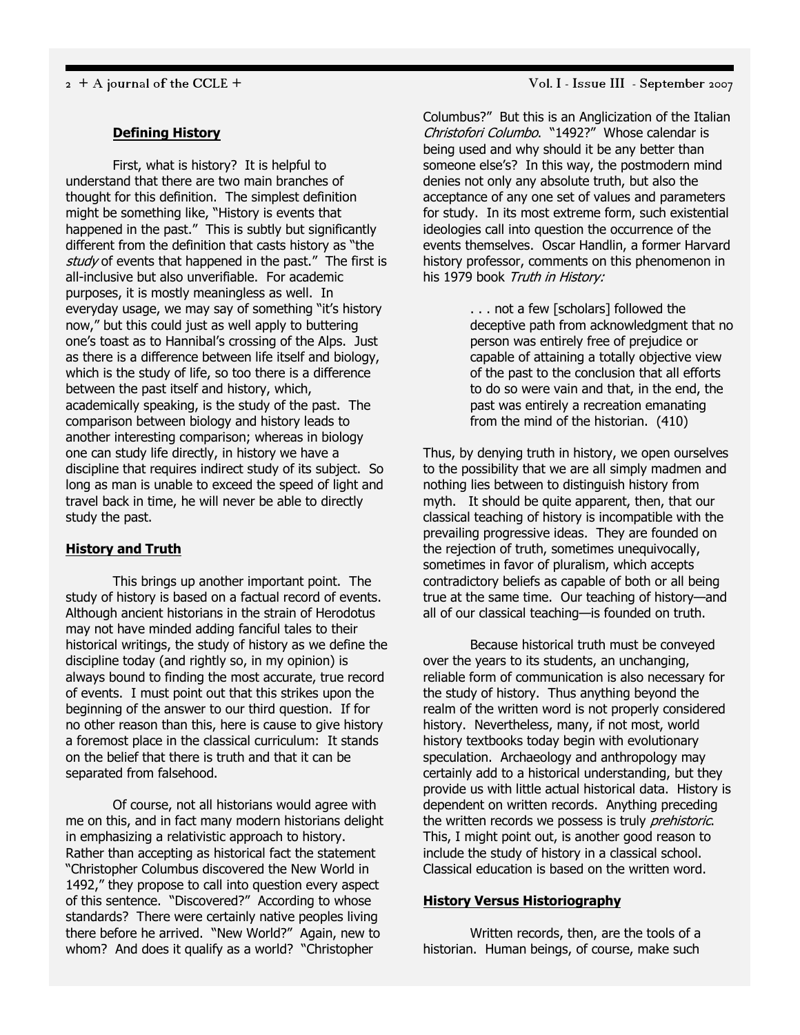# Defining History

First, what is history? It is helpful to understand that there are two main branches of thought for this definition. The simplest definition might be something like, "History is events that happened in the past." This is subtly but significantly different from the definition that casts history as "the study of events that happened in the past." The first is all-inclusive but also unverifiable. For academic purposes, it is mostly meaningless as well. In everyday usage, we may say of something "it's history now," but this could just as well apply to buttering one's toast as to Hannibal's crossing of the Alps. Just as there is a difference between life itself and biology, which is the study of life, so too there is a difference between the past itself and history, which, academically speaking, is the study of the past. The comparison between biology and history leads to another interesting comparison; whereas in biology one can study life directly, in history we have a discipline that requires indirect study of its subject. So long as man is unable to exceed the speed of light and travel back in time, he will never be able to directly study the past.

# **History and Truth**

This brings up another important point. The study of history is based on a factual record of events. Although ancient historians in the strain of Herodotus may not have minded adding fanciful tales to their historical writings, the study of history as we define the discipline today (and rightly so, in my opinion) is always bound to finding the most accurate, true record of events. I must point out that this strikes upon the beginning of the answer to our third question. If for no other reason than this, here is cause to give history a foremost place in the classical curriculum: It stands on the belief that there is truth and that it can be separated from falsehood.

Of course, not all historians would agree with me on this, and in fact many modern historians delight in emphasizing a relativistic approach to history. Rather than accepting as historical fact the statement "Christopher Columbus discovered the New World in 1492," they propose to call into question every aspect of this sentence. "Discovered?" According to whose standards? There were certainly native peoples living there before he arrived. "New World?" Again, new to whom? And does it qualify as a world? "Christopher

2 + A journal of the CCLE + Vol. I - Issue III - September 2007

Columbus?" But this is an Anglicization of the Italian Christofori Columbo. "1492?" Whose calendar is being used and why should it be any better than someone else's? In this way, the postmodern mind denies not only any absolute truth, but also the acceptance of any one set of values and parameters for study. In its most extreme form, such existential ideologies call into question the occurrence of the events themselves. Oscar Handlin, a former Harvard history professor, comments on this phenomenon in his 1979 book Truth in History:

> . . . not a few [scholars] followed the deceptive path from acknowledgment that no person was entirely free of prejudice or capable of attaining a totally objective view of the past to the conclusion that all efforts to do so were vain and that, in the end, the past was entirely a recreation emanating from the mind of the historian. (410)

Thus, by denying truth in history, we open ourselves to the possibility that we are all simply madmen and nothing lies between to distinguish history from myth. It should be quite apparent, then, that our classical teaching of history is incompatible with the prevailing progressive ideas. They are founded on the rejection of truth, sometimes unequivocally, sometimes in favor of pluralism, which accepts contradictory beliefs as capable of both or all being true at the same time. Our teaching of history—and all of our classical teaching—is founded on truth.

Because historical truth must be conveyed over the years to its students, an unchanging, reliable form of communication is also necessary for the study of history. Thus anything beyond the realm of the written word is not properly considered history. Nevertheless, many, if not most, world history textbooks today begin with evolutionary speculation. Archaeology and anthropology may certainly add to a historical understanding, but they provide us with little actual historical data. History is dependent on written records. Anything preceding the written records we possess is truly *prehistoric*. This, I might point out, is another good reason to include the study of history in a classical school. Classical education is based on the written word.

# History Versus Historiography

Written records, then, are the tools of a historian. Human beings, of course, make such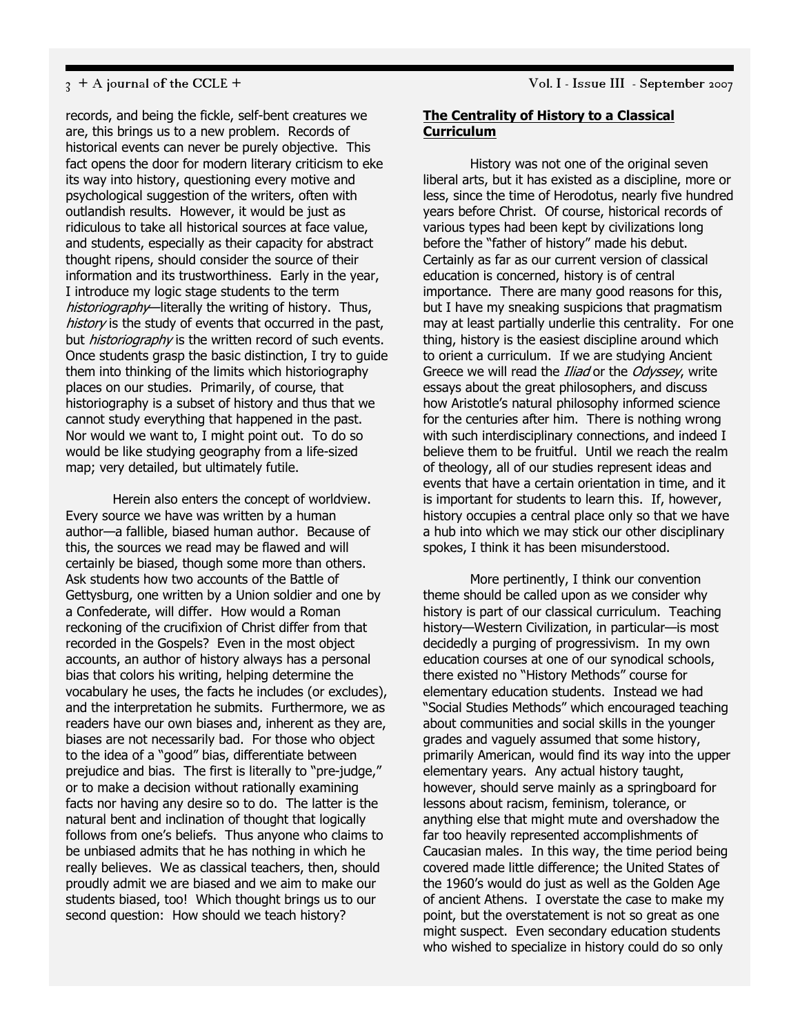records, and being the fickle, self-bent creatures we are, this brings us to a new problem. Records of historical events can never be purely objective. This fact opens the door for modern literary criticism to eke its way into history, questioning every motive and psychological suggestion of the writers, often with outlandish results. However, it would be just as ridiculous to take all historical sources at face value, and students, especially as their capacity for abstract thought ripens, should consider the source of their information and its trustworthiness. Early in the year, I introduce my logic stage students to the term historiography—literally the writing of history. Thus, history is the study of events that occurred in the past, but *historiography* is the written record of such events. Once students grasp the basic distinction, I try to guide them into thinking of the limits which historiography places on our studies. Primarily, of course, that historiography is a subset of history and thus that we cannot study everything that happened in the past. Nor would we want to, I might point out. To do so would be like studying geography from a life-sized map; very detailed, but ultimately futile.

Herein also enters the concept of worldview. Every source we have was written by a human author—a fallible, biased human author. Because of this, the sources we read may be flawed and will certainly be biased, though some more than others. Ask students how two accounts of the Battle of Gettysburg, one written by a Union soldier and one by a Confederate, will differ. How would a Roman reckoning of the crucifixion of Christ differ from that recorded in the Gospels? Even in the most object accounts, an author of history always has a personal bias that colors his writing, helping determine the vocabulary he uses, the facts he includes (or excludes), and the interpretation he submits. Furthermore, we as readers have our own biases and, inherent as they are, biases are not necessarily bad. For those who object to the idea of a "good" bias, differentiate between prejudice and bias. The first is literally to "pre-judge," or to make a decision without rationally examining facts nor having any desire so to do. The latter is the natural bent and inclination of thought that logically follows from one's beliefs. Thus anyone who claims to be unbiased admits that he has nothing in which he really believes. We as classical teachers, then, should proudly admit we are biased and we aim to make our students biased, too! Which thought brings us to our second question: How should we teach history?

 $3 + A$  journal of the CCLE +  $\qquad \qquad$  Vol. I - Issue III - September 2007

# The Centrality of History to a Classical **Curriculum**

History was not one of the original seven liberal arts, but it has existed as a discipline, more or less, since the time of Herodotus, nearly five hundred years before Christ. Of course, historical records of various types had been kept by civilizations long before the "father of history" made his debut. Certainly as far as our current version of classical education is concerned, history is of central importance. There are many good reasons for this, but I have my sneaking suspicions that pragmatism may at least partially underlie this centrality. For one thing, history is the easiest discipline around which to orient a curriculum. If we are studying Ancient Greece we will read the *Iliad* or the Odyssey, write essays about the great philosophers, and discuss how Aristotle's natural philosophy informed science for the centuries after him. There is nothing wrong with such interdisciplinary connections, and indeed I believe them to be fruitful. Until we reach the realm of theology, all of our studies represent ideas and events that have a certain orientation in time, and it is important for students to learn this. If, however, history occupies a central place only so that we have a hub into which we may stick our other disciplinary spokes, I think it has been misunderstood.

More pertinently, I think our convention theme should be called upon as we consider why history is part of our classical curriculum. Teaching history—Western Civilization, in particular—is most decidedly a purging of progressivism. In my own education courses at one of our synodical schools, there existed no "History Methods" course for elementary education students. Instead we had "Social Studies Methods" which encouraged teaching about communities and social skills in the younger grades and vaguely assumed that some history, primarily American, would find its way into the upper elementary years. Any actual history taught, however, should serve mainly as a springboard for lessons about racism, feminism, tolerance, or anything else that might mute and overshadow the far too heavily represented accomplishments of Caucasian males. In this way, the time period being covered made little difference; the United States of the 1960's would do just as well as the Golden Age of ancient Athens. I overstate the case to make my point, but the overstatement is not so great as one might suspect. Even secondary education students who wished to specialize in history could do so only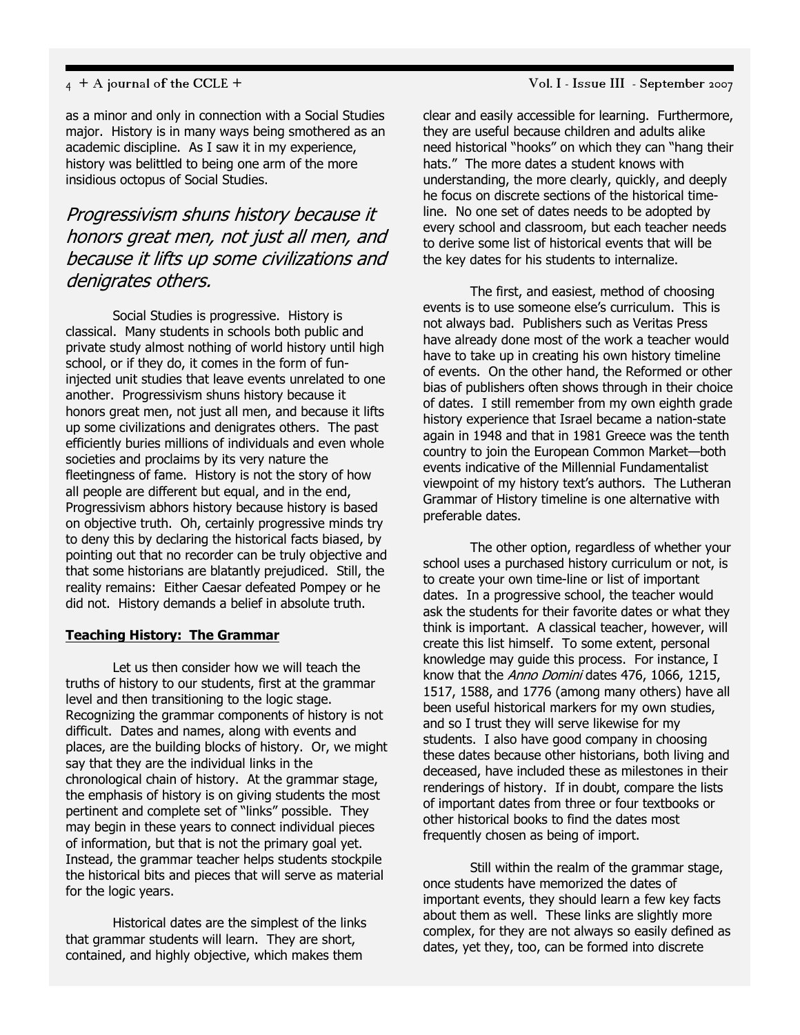as a minor and only in connection with a Social Studies major. History is in many ways being smothered as an academic discipline. As I saw it in my experience, history was belittled to being one arm of the more insidious octopus of Social Studies.

# Progressivism shuns history because it honors great men, not just all men, and because it lifts up some civilizations and denigrates others.

Social Studies is progressive. History is classical. Many students in schools both public and private study almost nothing of world history until high school, or if they do, it comes in the form of funinjected unit studies that leave events unrelated to one another. Progressivism shuns history because it honors great men, not just all men, and because it lifts up some civilizations and denigrates others. The past efficiently buries millions of individuals and even whole societies and proclaims by its very nature the fleetingness of fame. History is not the story of how all people are different but equal, and in the end, Progressivism abhors history because history is based on objective truth. Oh, certainly progressive minds try to deny this by declaring the historical facts biased, by pointing out that no recorder can be truly objective and that some historians are blatantly prejudiced. Still, the reality remains: Either Caesar defeated Pompey or he did not. History demands a belief in absolute truth.

# Teaching History: The Grammar

Let us then consider how we will teach the truths of history to our students, first at the grammar level and then transitioning to the logic stage. Recognizing the grammar components of history is not difficult. Dates and names, along with events and places, are the building blocks of history. Or, we might say that they are the individual links in the chronological chain of history. At the grammar stage, the emphasis of history is on giving students the most pertinent and complete set of "links" possible. They may begin in these years to connect individual pieces of information, but that is not the primary goal yet. Instead, the grammar teacher helps students stockpile the historical bits and pieces that will serve as material for the logic years.

Historical dates are the simplest of the links that grammar students will learn. They are short, contained, and highly objective, which makes them

### 4 + A journal of the CCLE + Vol. I - Issue III - September 2007

clear and easily accessible for learning. Furthermore, they are useful because children and adults alike need historical "hooks" on which they can "hang their hats." The more dates a student knows with understanding, the more clearly, quickly, and deeply he focus on discrete sections of the historical timeline. No one set of dates needs to be adopted by every school and classroom, but each teacher needs to derive some list of historical events that will be the key dates for his students to internalize.

The first, and easiest, method of choosing events is to use someone else's curriculum. This is not always bad. Publishers such as Veritas Press have already done most of the work a teacher would have to take up in creating his own history timeline of events. On the other hand, the Reformed or other bias of publishers often shows through in their choice of dates. I still remember from my own eighth grade history experience that Israel became a nation-state again in 1948 and that in 1981 Greece was the tenth country to join the European Common Market—both events indicative of the Millennial Fundamentalist viewpoint of my history text's authors. The Lutheran Grammar of History timeline is one alternative with preferable dates.

The other option, regardless of whether your school uses a purchased history curriculum or not, is to create your own time-line or list of important dates. In a progressive school, the teacher would ask the students for their favorite dates or what they think is important. A classical teacher, however, will create this list himself. To some extent, personal knowledge may guide this process. For instance, I know that the Anno Domini dates 476, 1066, 1215, 1517, 1588, and 1776 (among many others) have all been useful historical markers for my own studies, and so I trust they will serve likewise for my students. I also have good company in choosing these dates because other historians, both living and deceased, have included these as milestones in their renderings of history. If in doubt, compare the lists of important dates from three or four textbooks or other historical books to find the dates most frequently chosen as being of import.

Still within the realm of the grammar stage, once students have memorized the dates of important events, they should learn a few key facts about them as well. These links are slightly more complex, for they are not always so easily defined as dates, yet they, too, can be formed into discrete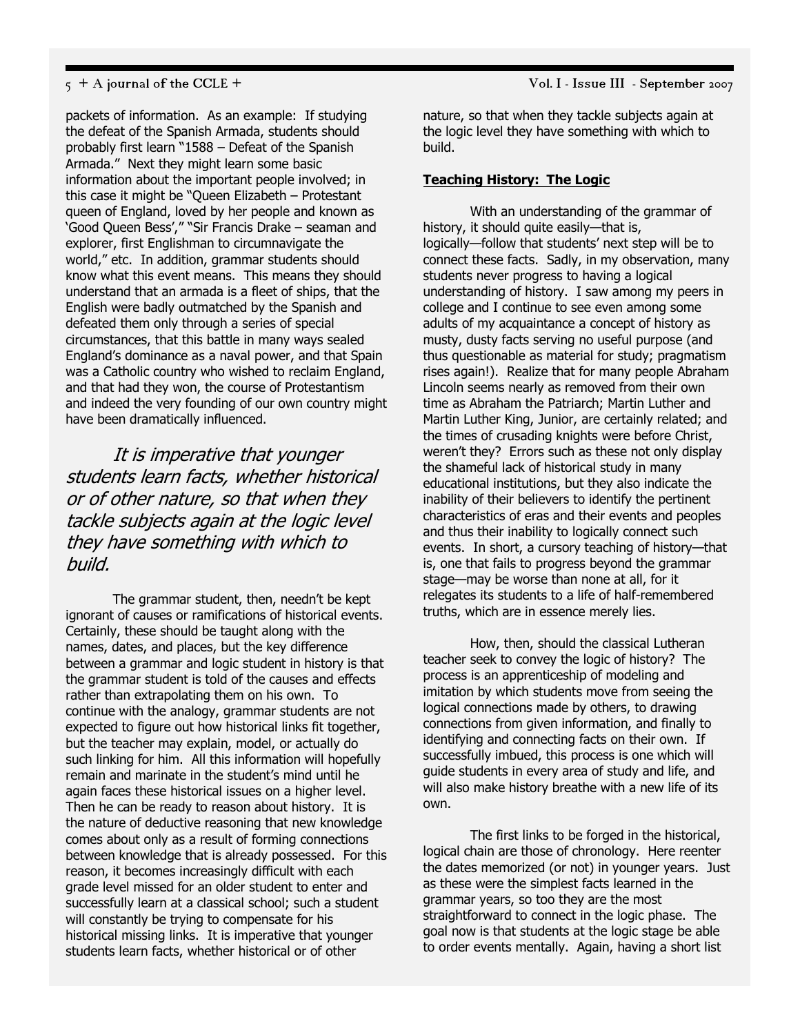packets of information. As an example: If studying the defeat of the Spanish Armada, students should probably first learn "1588 – Defeat of the Spanish Armada." Next they might learn some basic information about the important people involved; in this case it might be "Queen Elizabeth – Protestant queen of England, loved by her people and known as 'Good Queen Bess'," "Sir Francis Drake – seaman and explorer, first Englishman to circumnavigate the world," etc. In addition, grammar students should know what this event means. This means they should understand that an armada is a fleet of ships, that the English were badly outmatched by the Spanish and defeated them only through a series of special circumstances, that this battle in many ways sealed England's dominance as a naval power, and that Spain was a Catholic country who wished to reclaim England, and that had they won, the course of Protestantism and indeed the very founding of our own country might have been dramatically influenced.

It is imperative that younger students learn facts, whether historical or of other nature, so that when they tackle subjects again at the logic level they have something with which to build.

The grammar student, then, needn't be kept ignorant of causes or ramifications of historical events. Certainly, these should be taught along with the names, dates, and places, but the key difference between a grammar and logic student in history is that the grammar student is told of the causes and effects rather than extrapolating them on his own. To continue with the analogy, grammar students are not expected to figure out how historical links fit together, but the teacher may explain, model, or actually do such linking for him. All this information will hopefully remain and marinate in the student's mind until he again faces these historical issues on a higher level. Then he can be ready to reason about history. It is the nature of deductive reasoning that new knowledge comes about only as a result of forming connections between knowledge that is already possessed. For this reason, it becomes increasingly difficult with each grade level missed for an older student to enter and successfully learn at a classical school; such a student will constantly be trying to compensate for his historical missing links. It is imperative that younger students learn facts, whether historical or of other

 $5 + A$  journal of the CCLE +  $V$ ol. I - Issue III - September 2007

nature, so that when they tackle subjects again at the logic level they have something with which to build.

## Teaching History: The Logic

With an understanding of the grammar of history, it should quite easily—that is, logically—follow that students' next step will be to connect these facts. Sadly, in my observation, many students never progress to having a logical understanding of history. I saw among my peers in college and I continue to see even among some adults of my acquaintance a concept of history as musty, dusty facts serving no useful purpose (and thus questionable as material for study; pragmatism rises again!). Realize that for many people Abraham Lincoln seems nearly as removed from their own time as Abraham the Patriarch; Martin Luther and Martin Luther King, Junior, are certainly related; and the times of crusading knights were before Christ, weren't they? Errors such as these not only display the shameful lack of historical study in many educational institutions, but they also indicate the inability of their believers to identify the pertinent characteristics of eras and their events and peoples and thus their inability to logically connect such events. In short, a cursory teaching of history—that is, one that fails to progress beyond the grammar stage—may be worse than none at all, for it relegates its students to a life of half-remembered truths, which are in essence merely lies.

How, then, should the classical Lutheran teacher seek to convey the logic of history? The process is an apprenticeship of modeling and imitation by which students move from seeing the logical connections made by others, to drawing connections from given information, and finally to identifying and connecting facts on their own. If successfully imbued, this process is one which will guide students in every area of study and life, and will also make history breathe with a new life of its own.

The first links to be forged in the historical, logical chain are those of chronology. Here reenter the dates memorized (or not) in younger years. Just as these were the simplest facts learned in the grammar years, so too they are the most straightforward to connect in the logic phase. The goal now is that students at the logic stage be able to order events mentally. Again, having a short list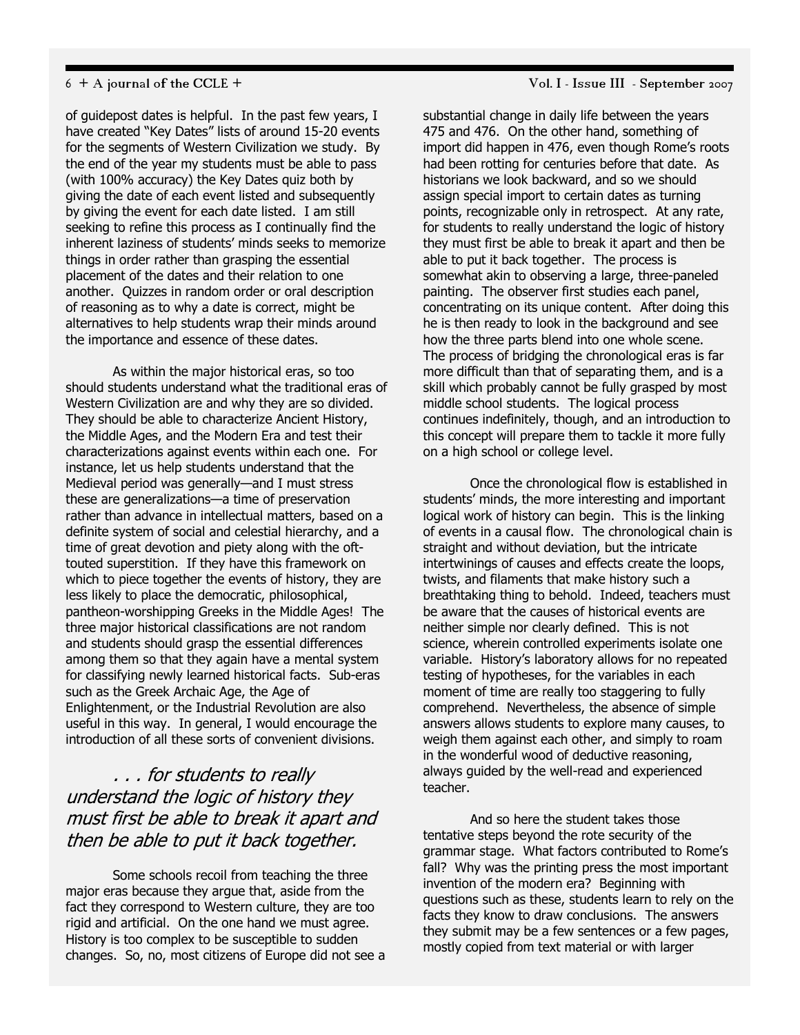of guidepost dates is helpful. In the past few years, I have created "Key Dates" lists of around 15-20 events for the segments of Western Civilization we study. By the end of the year my students must be able to pass (with 100% accuracy) the Key Dates quiz both by giving the date of each event listed and subsequently by giving the event for each date listed. I am still seeking to refine this process as I continually find the inherent laziness of students' minds seeks to memorize things in order rather than grasping the essential placement of the dates and their relation to one another. Quizzes in random order or oral description of reasoning as to why a date is correct, might be alternatives to help students wrap their minds around the importance and essence of these dates.

As within the major historical eras, so too should students understand what the traditional eras of Western Civilization are and why they are so divided. They should be able to characterize Ancient History, the Middle Ages, and the Modern Era and test their characterizations against events within each one. For instance, let us help students understand that the Medieval period was generally—and I must stress these are generalizations—a time of preservation rather than advance in intellectual matters, based on a definite system of social and celestial hierarchy, and a time of great devotion and piety along with the ofttouted superstition. If they have this framework on which to piece together the events of history, they are less likely to place the democratic, philosophical, pantheon-worshipping Greeks in the Middle Ages! The three major historical classifications are not random and students should grasp the essential differences among them so that they again have a mental system for classifying newly learned historical facts. Sub-eras such as the Greek Archaic Age, the Age of Enlightenment, or the Industrial Revolution are also useful in this way. In general, I would encourage the introduction of all these sorts of convenient divisions.

# . . . for students to really understand the logic of history they must first be able to break it apart and then be able to put it back together.

Some schools recoil from teaching the three major eras because they argue that, aside from the fact they correspond to Western culture, they are too rigid and artificial. On the one hand we must agree. History is too complex to be susceptible to sudden changes. So, no, most citizens of Europe did not see a

### 6 + A journal of the CCLE + Vol. I - Issue III - September 2007

substantial change in daily life between the years 475 and 476. On the other hand, something of import did happen in 476, even though Rome's roots had been rotting for centuries before that date. As historians we look backward, and so we should assign special import to certain dates as turning points, recognizable only in retrospect. At any rate, for students to really understand the logic of history they must first be able to break it apart and then be able to put it back together. The process is somewhat akin to observing a large, three-paneled painting. The observer first studies each panel, concentrating on its unique content. After doing this he is then ready to look in the background and see how the three parts blend into one whole scene. The process of bridging the chronological eras is far more difficult than that of separating them, and is a skill which probably cannot be fully grasped by most middle school students. The logical process continues indefinitely, though, and an introduction to this concept will prepare them to tackle it more fully on a high school or college level.

Once the chronological flow is established in students' minds, the more interesting and important logical work of history can begin. This is the linking of events in a causal flow. The chronological chain is straight and without deviation, but the intricate intertwinings of causes and effects create the loops, twists, and filaments that make history such a breathtaking thing to behold. Indeed, teachers must be aware that the causes of historical events are neither simple nor clearly defined. This is not science, wherein controlled experiments isolate one variable. History's laboratory allows for no repeated testing of hypotheses, for the variables in each moment of time are really too staggering to fully comprehend. Nevertheless, the absence of simple answers allows students to explore many causes, to weigh them against each other, and simply to roam in the wonderful wood of deductive reasoning, always guided by the well-read and experienced teacher.

And so here the student takes those tentative steps beyond the rote security of the grammar stage. What factors contributed to Rome's fall? Why was the printing press the most important invention of the modern era? Beginning with questions such as these, students learn to rely on the facts they know to draw conclusions. The answers they submit may be a few sentences or a few pages, mostly copied from text material or with larger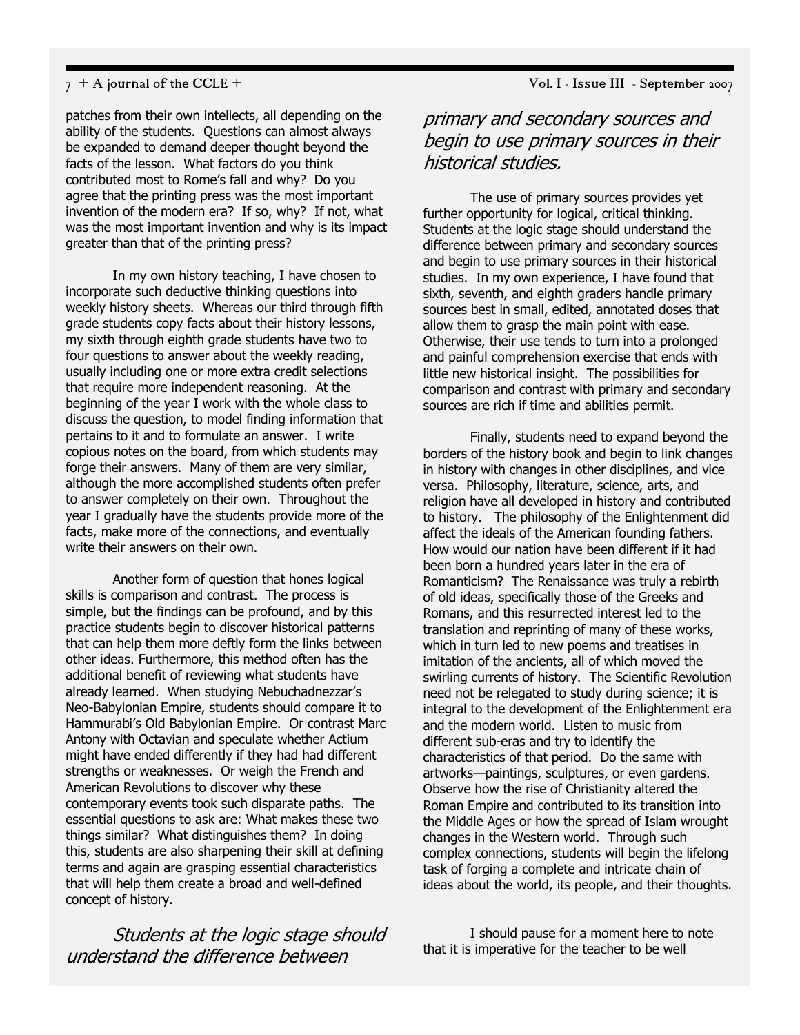patches from their own intellects, all depending on the ability of the students. Questions can almost always be expanded to demand deeper thought beyond the facts of the lesson. What factors do you think contributed most to Rome's fall and why? Do you agree that the printing press was the most important invention of the modern era? If so, why? If not, what was the most important invention and why is its impact greater than that of the printing press?

In my own history teaching, I have chosen to incorporate such deductive thinking questions into weekly history sheets. Whereas our third through fifth grade students copy facts about their history lessons, my sixth through eighth grade students have two to four questions to answer about the weekly reading, usually including one or more extra credit selections that require more independent reasoning. At the beginning of the year I work with the whole class to discuss the question, to model finding information that pertains to it and to formulate an answer. I write copious notes on the board, from which students may forge their answers. Many of them are very similar, although the more accomplished students often prefer to answer completely on their own. Throughout the year I gradually have the students provide more of the facts, make more of the connections, and eventually write their answers on their own.

Another form of question that hones logical skills is comparison and contrast. The process is simple, but the findings can be profound, and by this practice students begin to discover historical patterns that can help them more deftly form the links between other ideas. Furthermore, this method often has the additional benefit of reviewing what students have already learned. When studying Nebuchadnezzar's Neo-Babylonian Empire, students should compare it to Hammurabi's Old Babylonian Empire. Or contrast Marc Antony with Octavian and speculate whether Actium might have ended differently if they had had different strengths or weaknesses. Or weigh the French and American Revolutions to discover why these contemporary events took such disparate paths. The essential questions to ask are: What makes these two things similar? What distinguishes them? In doing this, students are also sharpening their skill at defining terms and again are grasping essential characteristics that will help them create a broad and well-defined concept of history.

Students at the logic stage should understand the difference between

 $7 + A$  journal of the CCLE +  $V$ ol. I - Issue III - September 2007

# primary and secondary sources and begin to use primary sources in their historical studies.

The use of primary sources provides yet further opportunity for logical, critical thinking. Students at the logic stage should understand the difference between primary and secondary sources and begin to use primary sources in their historical studies. In my own experience, I have found that sixth, seventh, and eighth graders handle primary sources best in small, edited, annotated doses that allow them to grasp the main point with ease. Otherwise, their use tends to turn into a prolonged and painful comprehension exercise that ends with little new historical insight. The possibilities for comparison and contrast with primary and secondary sources are rich if time and abilities permit.

Finally, students need to expand beyond the borders of the history book and begin to link changes in history with changes in other disciplines, and vice versa. Philosophy, literature, science, arts, and religion have all developed in history and contributed to history. The philosophy of the Enlightenment did affect the ideals of the American founding fathers. How would our nation have been different if it had been born a hundred years later in the era of Romanticism? The Renaissance was truly a rebirth of old ideas, specifically those of the Greeks and Romans, and this resurrected interest led to the translation and reprinting of many of these works, which in turn led to new poems and treatises in imitation of the ancients, all of which moved the swirling currents of history. The Scientific Revolution need not be relegated to study during science; it is integral to the development of the Enlightenment era and the modern world. Listen to music from different sub-eras and try to identify the characteristics of that period. Do the same with artworks—paintings, sculptures, or even gardens. Observe how the rise of Christianity altered the Roman Empire and contributed to its transition into the Middle Ages or how the spread of Islam wrought changes in the Western world. Through such complex connections, students will begin the lifelong task of forging a complete and intricate chain of ideas about the world, its people, and their thoughts.

I should pause for a moment here to note that it is imperative for the teacher to be well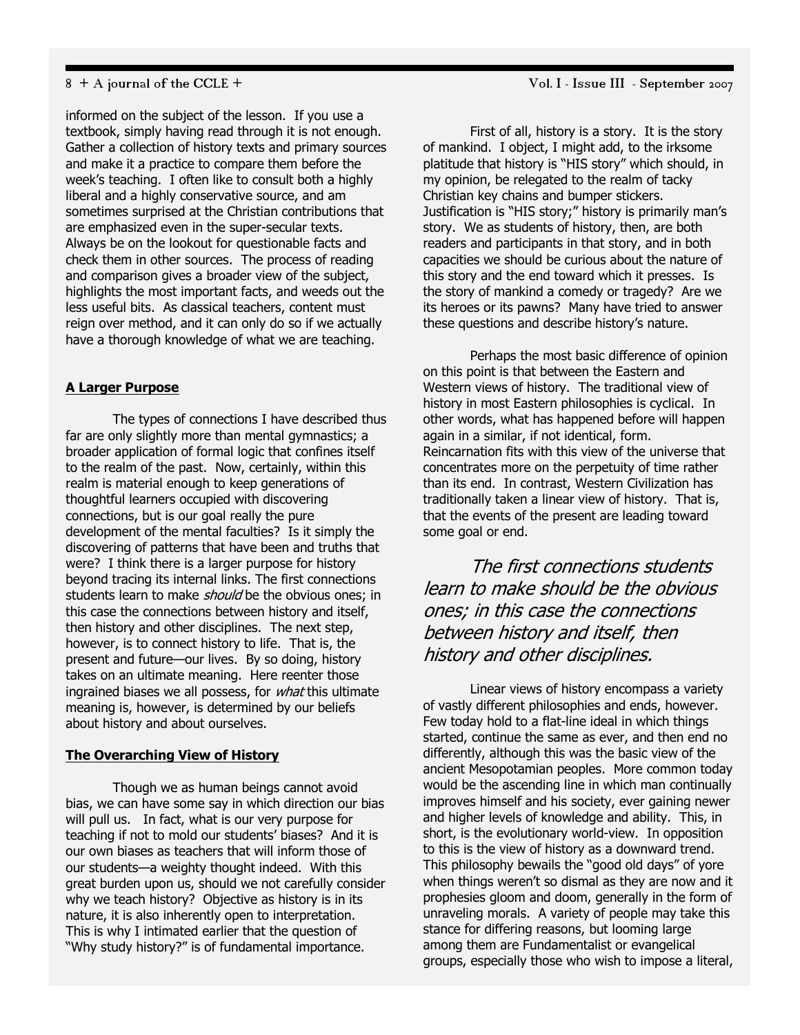informed on the subject of the lesson. If you use a textbook, simply having read through it is not enough. Gather a collection of history texts and primary sources and make it a practice to compare them before the week's teaching. I often like to consult both a highly liberal and a highly conservative source, and am sometimes surprised at the Christian contributions that are emphasized even in the super-secular texts. Always be on the lookout for questionable facts and check them in other sources. The process of reading and comparison gives a broader view of the subject, highlights the most important facts, and weeds out the less useful bits. As classical teachers, content must reign over method, and it can only do so if we actually have a thorough knowledge of what we are teaching.

# A Larger Purpose

The types of connections I have described thus far are only slightly more than mental gymnastics; a broader application of formal logic that confines itself to the realm of the past. Now, certainly, within this realm is material enough to keep generations of thoughtful learners occupied with discovering connections, but is our goal really the pure development of the mental faculties? Is it simply the discovering of patterns that have been and truths that were? I think there is a larger purpose for history beyond tracing its internal links. The first connections students learn to make *should* be the obvious ones; in this case the connections between history and itself, then history and other disciplines. The next step, however, is to connect history to life. That is, the present and future—our lives. By so doing, history takes on an ultimate meaning. Here reenter those ingrained biases we all possess, for *what* this ultimate meaning is, however, is determined by our beliefs about history and about ourselves.

# The Overarching View of History

Though we as human beings cannot avoid bias, we can have some say in which direction our bias will pull us. In fact, what is our very purpose for teaching if not to mold our students' biases? And it is our own biases as teachers that will inform those of our students—a weighty thought indeed. With this great burden upon us, should we not carefully consider why we teach history? Objective as history is in its nature, it is also inherently open to interpretation. This is why I intimated earlier that the question of "Why study history?" is of fundamental importance.

8 + A journal of the CCLE + Vol. I - Issue III - September 2007

First of all, history is a story. It is the story of mankind. I object, I might add, to the irksome platitude that history is "HIS story" which should, in my opinion, be relegated to the realm of tacky Christian key chains and bumper stickers. Justification is "HIS story;" history is primarily man's story. We as students of history, then, are both readers and participants in that story, and in both capacities we should be curious about the nature of this story and the end toward which it presses. Is the story of mankind a comedy or tragedy? Are we its heroes or its pawns? Many have tried to answer these questions and describe history's nature.

Perhaps the most basic difference of opinion on this point is that between the Eastern and Western views of history. The traditional view of history in most Eastern philosophies is cyclical. In other words, what has happened before will happen again in a similar, if not identical, form. Reincarnation fits with this view of the universe that concentrates more on the perpetuity of time rather than its end. In contrast, Western Civilization has traditionally taken a linear view of history. That is, that the events of the present are leading toward some goal or end.

The first connections students learn to make should be the obvious ones; in this case the connections between history and itself, then history and other disciplines.

Linear views of history encompass a variety of vastly different philosophies and ends, however. Few today hold to a flat-line ideal in which things started, continue the same as ever, and then end no differently, although this was the basic view of the ancient Mesopotamian peoples. More common today would be the ascending line in which man continually improves himself and his society, ever gaining newer and higher levels of knowledge and ability. This, in short, is the evolutionary world-view. In opposition to this is the view of history as a downward trend. This philosophy bewails the "good old days" of yore when things weren't so dismal as they are now and it prophesies gloom and doom, generally in the form of unraveling morals. A variety of people may take this stance for differing reasons, but looming large among them are Fundamentalist or evangelical groups, especially those who wish to impose a literal,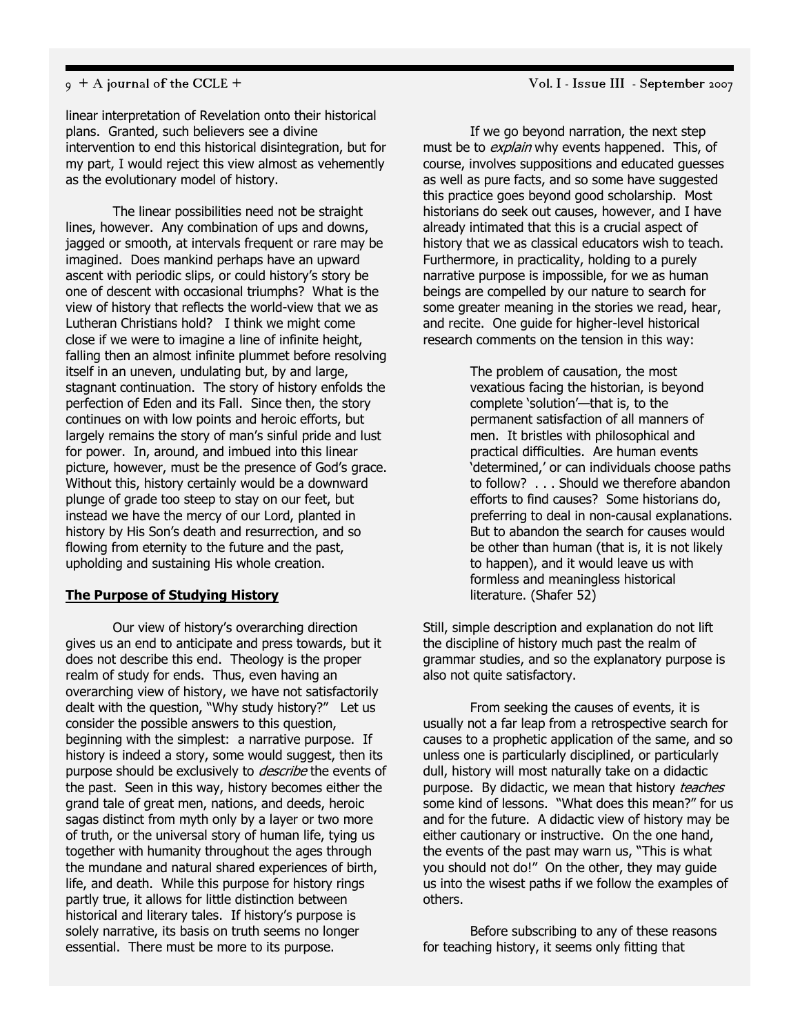linear interpretation of Revelation onto their historical plans. Granted, such believers see a divine intervention to end this historical disintegration, but for my part, I would reject this view almost as vehemently as the evolutionary model of history.

The linear possibilities need not be straight lines, however. Any combination of ups and downs, jagged or smooth, at intervals frequent or rare may be imagined. Does mankind perhaps have an upward ascent with periodic slips, or could history's story be one of descent with occasional triumphs? What is the view of history that reflects the world-view that we as Lutheran Christians hold? I think we might come close if we were to imagine a line of infinite height, falling then an almost infinite plummet before resolving itself in an uneven, undulating but, by and large, stagnant continuation. The story of history enfolds the perfection of Eden and its Fall. Since then, the story continues on with low points and heroic efforts, but largely remains the story of man's sinful pride and lust for power. In, around, and imbued into this linear picture, however, must be the presence of God's grace. Without this, history certainly would be a downward plunge of grade too steep to stay on our feet, but instead we have the mercy of our Lord, planted in history by His Son's death and resurrection, and so flowing from eternity to the future and the past, upholding and sustaining His whole creation.

# The Purpose of Studying History

Our view of history's overarching direction gives us an end to anticipate and press towards, but it does not describe this end. Theology is the proper realm of study for ends. Thus, even having an overarching view of history, we have not satisfactorily dealt with the question, "Why study history?" Let us consider the possible answers to this question, beginning with the simplest: a narrative purpose. If history is indeed a story, some would suggest, then its purpose should be exclusively to *describe* the events of the past. Seen in this way, history becomes either the grand tale of great men, nations, and deeds, heroic sagas distinct from myth only by a layer or two more of truth, or the universal story of human life, tying us together with humanity throughout the ages through the mundane and natural shared experiences of birth, life, and death. While this purpose for history rings partly true, it allows for little distinction between historical and literary tales. If history's purpose is solely narrative, its basis on truth seems no longer essential. There must be more to its purpose.

If we go beyond narration, the next step must be to *explain* why events happened. This, of course, involves suppositions and educated guesses as well as pure facts, and so some have suggested this practice goes beyond good scholarship. Most historians do seek out causes, however, and I have already intimated that this is a crucial aspect of history that we as classical educators wish to teach. Furthermore, in practicality, holding to a purely narrative purpose is impossible, for we as human beings are compelled by our nature to search for some greater meaning in the stories we read, hear, and recite. One guide for higher-level historical research comments on the tension in this way:

> The problem of causation, the most vexatious facing the historian, is beyond complete 'solution'—that is, to the permanent satisfaction of all manners of men. It bristles with philosophical and practical difficulties. Are human events 'determined,' or can individuals choose paths to follow? . . . Should we therefore abandon efforts to find causes? Some historians do, preferring to deal in non-causal explanations. But to abandon the search for causes would be other than human (that is, it is not likely to happen), and it would leave us with formless and meaningless historical literature. (Shafer 52)

Still, simple description and explanation do not lift the discipline of history much past the realm of grammar studies, and so the explanatory purpose is also not quite satisfactory.

From seeking the causes of events, it is usually not a far leap from a retrospective search for causes to a prophetic application of the same, and so unless one is particularly disciplined, or particularly dull, history will most naturally take on a didactic purpose. By didactic, we mean that history teaches some kind of lessons. "What does this mean?" for us and for the future. A didactic view of history may be either cautionary or instructive. On the one hand, the events of the past may warn us, "This is what you should not do!" On the other, they may guide us into the wisest paths if we follow the examples of others.

Before subscribing to any of these reasons for teaching history, it seems only fitting that

9 + A journal of the CCLE + Vol. I - Issue III - September 2007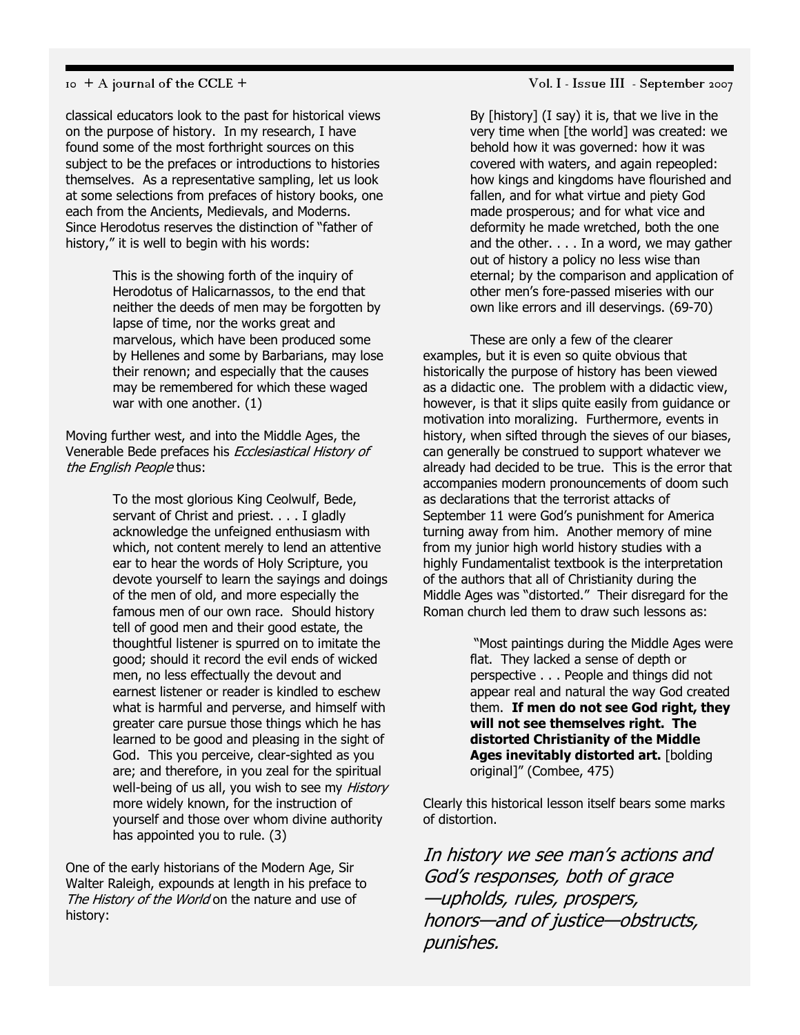classical educators look to the past for historical views on the purpose of history. In my research, I have found some of the most forthright sources on this subject to be the prefaces or introductions to histories themselves. As a representative sampling, let us look at some selections from prefaces of history books, one each from the Ancients, Medievals, and Moderns. Since Herodotus reserves the distinction of "father of history," it is well to begin with his words:

> This is the showing forth of the inquiry of Herodotus of Halicarnassos, to the end that neither the deeds of men may be forgotten by lapse of time, nor the works great and marvelous, which have been produced some by Hellenes and some by Barbarians, may lose their renown; and especially that the causes may be remembered for which these waged war with one another. (1)

Moving further west, and into the Middle Ages, the Venerable Bede prefaces his Ecclesiastical History of the English People thus:

> To the most glorious King Ceolwulf, Bede, servant of Christ and priest. . . . I gladly acknowledge the unfeigned enthusiasm with which, not content merely to lend an attentive ear to hear the words of Holy Scripture, you devote yourself to learn the sayings and doings of the men of old, and more especially the famous men of our own race. Should history tell of good men and their good estate, the thoughtful listener is spurred on to imitate the good; should it record the evil ends of wicked men, no less effectually the devout and earnest listener or reader is kindled to eschew what is harmful and perverse, and himself with greater care pursue those things which he has learned to be good and pleasing in the sight of God. This you perceive, clear-sighted as you are; and therefore, in you zeal for the spiritual well-being of us all, you wish to see my History more widely known, for the instruction of yourself and those over whom divine authority has appointed you to rule. (3)

One of the early historians of the Modern Age, Sir Walter Raleigh, expounds at length in his preface to The History of the World on the nature and use of history:

### 10 + A journal of the CCLE + Vol. I - Issue III - September 2007

By [history] (I say) it is, that we live in the very time when [the world] was created: we behold how it was governed: how it was covered with waters, and again repeopled: how kings and kingdoms have flourished and fallen, and for what virtue and piety God made prosperous; and for what vice and deformity he made wretched, both the one and the other. . . . In a word, we may gather out of history a policy no less wise than eternal; by the comparison and application of other men's fore-passed miseries with our own like errors and ill deservings. (69-70)

These are only a few of the clearer examples, but it is even so quite obvious that historically the purpose of history has been viewed as a didactic one. The problem with a didactic view, however, is that it slips quite easily from guidance or motivation into moralizing. Furthermore, events in history, when sifted through the sieves of our biases, can generally be construed to support whatever we already had decided to be true. This is the error that accompanies modern pronouncements of doom such as declarations that the terrorist attacks of September 11 were God's punishment for America turning away from him. Another memory of mine from my junior high world history studies with a highly Fundamentalist textbook is the interpretation of the authors that all of Christianity during the Middle Ages was "distorted." Their disregard for the Roman church led them to draw such lessons as:

> "Most paintings during the Middle Ages were flat. They lacked a sense of depth or perspective . . . People and things did not appear real and natural the way God created them. If men do not see God right, they will not see themselves right. The distorted Christianity of the Middle Ages inevitably distorted art. [bolding] original]" (Combee, 475)

Clearly this historical lesson itself bears some marks of distortion.

In history we see man's actions and God's responses, both of grace —upholds, rules, prospers, honors—and of justice—obstructs, punishes.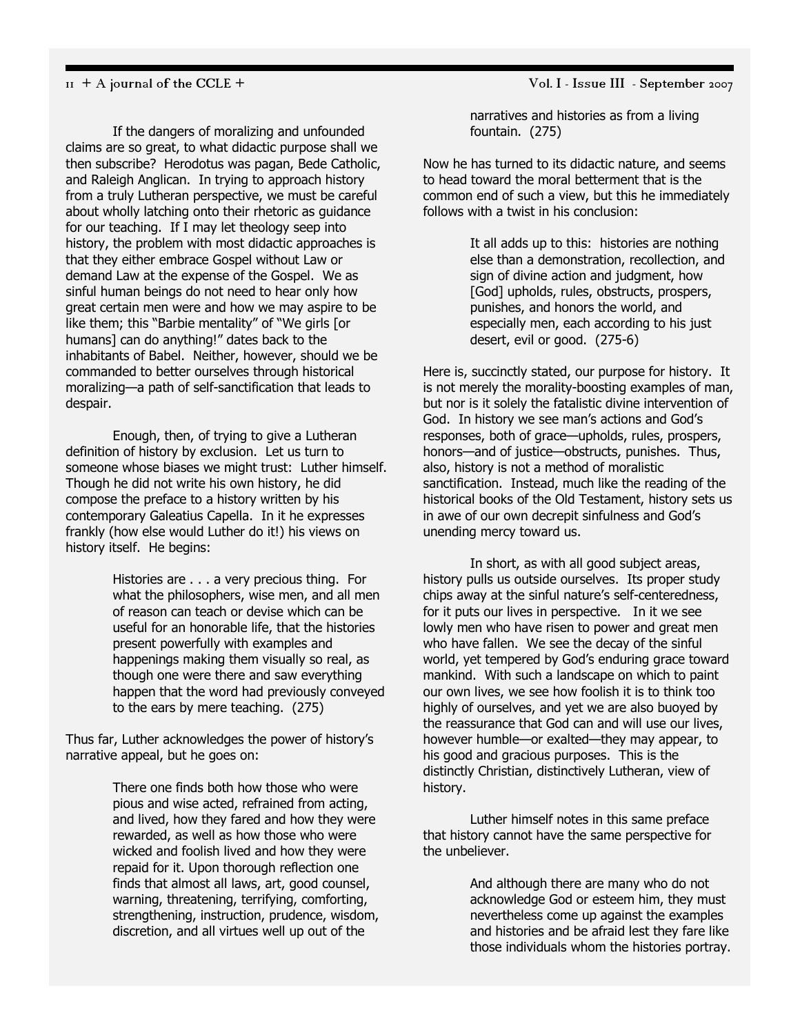$11 + A$  journal of the CCLE +  $11 + A$  journal of the CCLE +

If the dangers of moralizing and unfounded claims are so great, to what didactic purpose shall we then subscribe? Herodotus was pagan, Bede Catholic, and Raleigh Anglican. In trying to approach history from a truly Lutheran perspective, we must be careful about wholly latching onto their rhetoric as guidance for our teaching. If I may let theology seep into history, the problem with most didactic approaches is that they either embrace Gospel without Law or demand Law at the expense of the Gospel. We as sinful human beings do not need to hear only how great certain men were and how we may aspire to be like them; this "Barbie mentality" of "We girls [or humans] can do anything!" dates back to the inhabitants of Babel. Neither, however, should we be commanded to better ourselves through historical moralizing—a path of self-sanctification that leads to despair.

Enough, then, of trying to give a Lutheran definition of history by exclusion. Let us turn to someone whose biases we might trust: Luther himself. Though he did not write his own history, he did compose the preface to a history written by his contemporary Galeatius Capella. In it he expresses frankly (how else would Luther do it!) his views on history itself. He begins:

> Histories are . . . a very precious thing. For what the philosophers, wise men, and all men of reason can teach or devise which can be useful for an honorable life, that the histories present powerfully with examples and happenings making them visually so real, as though one were there and saw everything happen that the word had previously conveyed to the ears by mere teaching. (275)

Thus far, Luther acknowledges the power of history's narrative appeal, but he goes on:

> There one finds both how those who were pious and wise acted, refrained from acting, and lived, how they fared and how they were rewarded, as well as how those who were wicked and foolish lived and how they were repaid for it. Upon thorough reflection one finds that almost all laws, art, good counsel, warning, threatening, terrifying, comforting, strengthening, instruction, prudence, wisdom, discretion, and all virtues well up out of the

narratives and histories as from a living fountain. (275)

Now he has turned to its didactic nature, and seems to head toward the moral betterment that is the common end of such a view, but this he immediately follows with a twist in his conclusion:

> It all adds up to this: histories are nothing else than a demonstration, recollection, and sign of divine action and judgment, how [God] upholds, rules, obstructs, prospers, punishes, and honors the world, and especially men, each according to his just desert, evil or good. (275-6)

Here is, succinctly stated, our purpose for history. It is not merely the morality-boosting examples of man, but nor is it solely the fatalistic divine intervention of God. In history we see man's actions and God's responses, both of grace—upholds, rules, prospers, honors—and of justice—obstructs, punishes. Thus, also, history is not a method of moralistic sanctification. Instead, much like the reading of the historical books of the Old Testament, history sets us in awe of our own decrepit sinfulness and God's unending mercy toward us.

In short, as with all good subject areas, history pulls us outside ourselves. Its proper study chips away at the sinful nature's self-centeredness, for it puts our lives in perspective. In it we see lowly men who have risen to power and great men who have fallen. We see the decay of the sinful world, yet tempered by God's enduring grace toward mankind. With such a landscape on which to paint our own lives, we see how foolish it is to think too highly of ourselves, and yet we are also buoyed by the reassurance that God can and will use our lives, however humble—or exalted—they may appear, to his good and gracious purposes. This is the distinctly Christian, distinctively Lutheran, view of history.

Luther himself notes in this same preface that history cannot have the same perspective for the unbeliever.

> And although there are many who do not acknowledge God or esteem him, they must nevertheless come up against the examples and histories and be afraid lest they fare like those individuals whom the histories portray.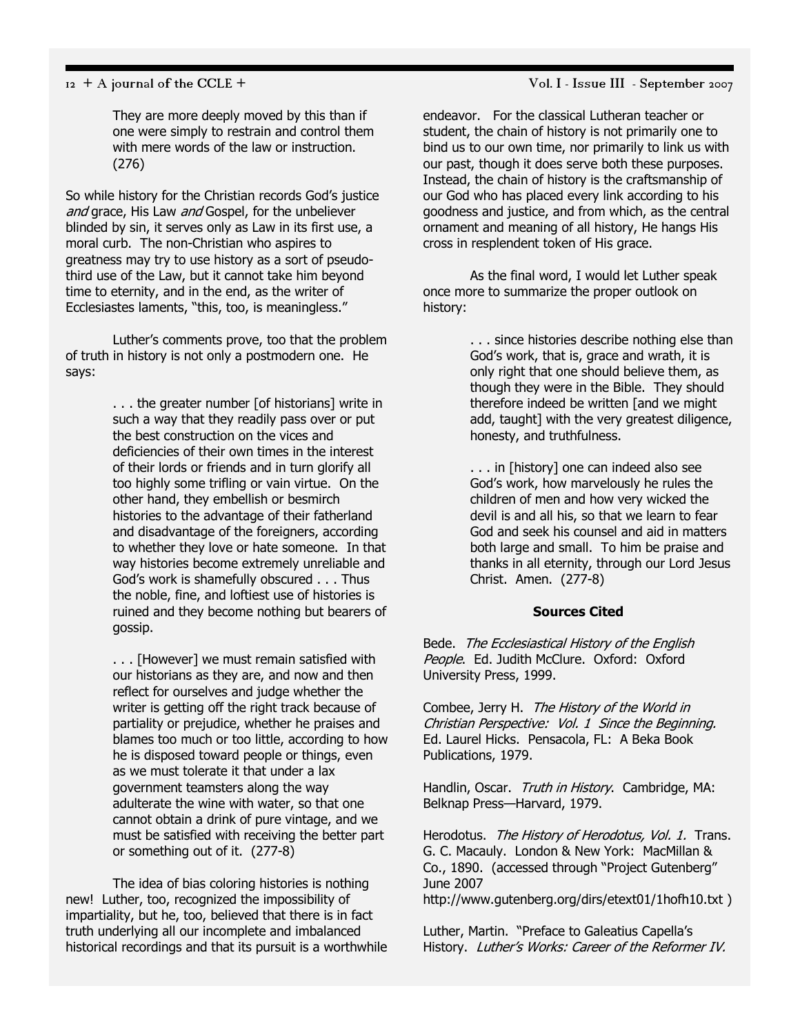They are more deeply moved by this than if one were simply to restrain and control them with mere words of the law or instruction. (276)

So while history for the Christian records God's justice and grace, His Law and Gospel, for the unbeliever blinded by sin, it serves only as Law in its first use, a moral curb. The non-Christian who aspires to greatness may try to use history as a sort of pseudothird use of the Law, but it cannot take him beyond time to eternity, and in the end, as the writer of Ecclesiastes laments, "this, too, is meaningless."

Luther's comments prove, too that the problem of truth in history is not only a postmodern one. He says:

> . . . the greater number [of historians] write in such a way that they readily pass over or put the best construction on the vices and deficiencies of their own times in the interest of their lords or friends and in turn glorify all too highly some trifling or vain virtue. On the other hand, they embellish or besmirch histories to the advantage of their fatherland and disadvantage of the foreigners, according to whether they love or hate someone. In that way histories become extremely unreliable and God's work is shamefully obscured . . . Thus the noble, fine, and loftiest use of histories is ruined and they become nothing but bearers of gossip.

> . . . [However] we must remain satisfied with our historians as they are, and now and then reflect for ourselves and judge whether the writer is getting off the right track because of partiality or prejudice, whether he praises and blames too much or too little, according to how he is disposed toward people or things, even as we must tolerate it that under a lax government teamsters along the way adulterate the wine with water, so that one cannot obtain a drink of pure vintage, and we must be satisfied with receiving the better part or something out of it. (277-8)

The idea of bias coloring histories is nothing new! Luther, too, recognized the impossibility of impartiality, but he, too, believed that there is in fact truth underlying all our incomplete and imbalanced historical recordings and that its pursuit is a worthwhile

# 12 + A journal of the CCLE + Vol. I - Issue III - September 2007

endeavor. For the classical Lutheran teacher or student, the chain of history is not primarily one to bind us to our own time, nor primarily to link us with our past, though it does serve both these purposes. Instead, the chain of history is the craftsmanship of our God who has placed every link according to his goodness and justice, and from which, as the central ornament and meaning of all history, He hangs His cross in resplendent token of His grace.

As the final word, I would let Luther speak once more to summarize the proper outlook on history:

> . . . since histories describe nothing else than God's work, that is, grace and wrath, it is only right that one should believe them, as though they were in the Bible. They should therefore indeed be written [and we might add, taught] with the very greatest diligence, honesty, and truthfulness.

> . . . in [history] one can indeed also see God's work, how marvelously he rules the children of men and how very wicked the devil is and all his, so that we learn to fear God and seek his counsel and aid in matters both large and small. To him be praise and thanks in all eternity, through our Lord Jesus Christ. Amen. (277-8)

# Sources Cited

Bede. The Ecclesiastical History of the English People. Ed. Judith McClure. Oxford: Oxford University Press, 1999.

Combee, Jerry H. The History of the World in Christian Perspective: Vol. 1 Since the Beginning. Ed. Laurel Hicks. Pensacola, FL: A Beka Book Publications, 1979.

Handlin, Oscar. Truth in History. Cambridge, MA: Belknap Press—Harvard, 1979.

Herodotus. The History of Herodotus, Vol. 1. Trans. G. C. Macauly. London & New York: MacMillan & Co., 1890. (accessed through "Project Gutenberg" June 2007

http://www.gutenberg.org/dirs/etext01/1hofh10.txt )

Luther, Martin. "Preface to Galeatius Capella's History. Luther's Works: Career of the Reformer IV.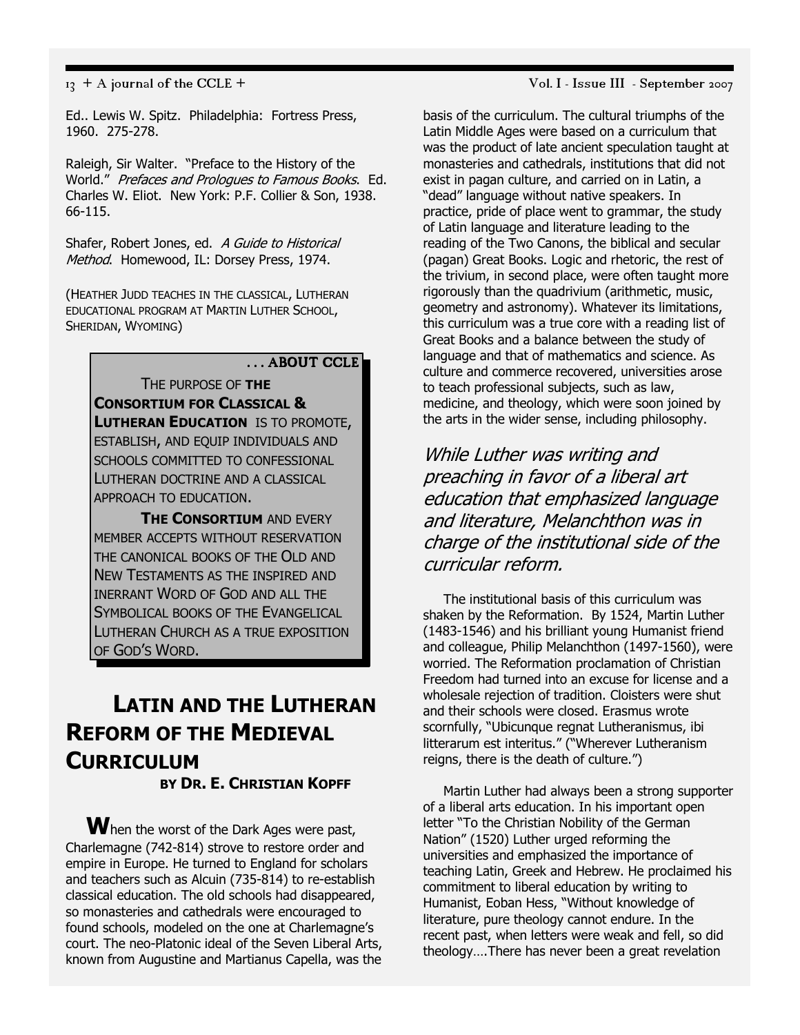Ed.. Lewis W. Spitz. Philadelphia: Fortress Press, 1960. 275-278.

Raleigh, Sir Walter. "Preface to the History of the World." Prefaces and Prologues to Famous Books. Ed. Charles W. Eliot. New York: P.F. Collier & Son, 1938. 66-115.

Shafer, Robert Jones, ed. A Guide to Historical Method. Homewood, IL: Dorsey Press, 1974.

(HEATHER JUDD TEACHES IN THE CLASSICAL, LUTHERAN EDUCATIONAL PROGRAM AT MARTIN LUTHER SCHOOL, SHERIDAN, WYOMING)

... ABOUT CCLE THE PURPOSE OF THE CONSORTIUM FOR CLASSICAL & **LUTHERAN EDUCATION IS TO PROMOTE,** ESTABLISH, AND EQUIP INDIVIDUALS AND SCHOOLS COMMITTED TO CONFESSIONAL LUTHERAN DOCTRINE AND A CLASSICAL APPROACH TO EDUCATION.

**THE CONSORTIUM AND EVERY** MEMBER ACCEPTS WITHOUT RESERVATION THE CANONICAL BOOKS OF THE OLD AND NEW TESTAMENTS AS THE INSPIRED AND INERRANT WORD OF GOD AND ALL THE SYMBOLICAL BOOKS OF THE EVANGELICAL LUTHERAN CHURCH AS A TRUE EXPOSITION OF GOD'S WORD.

# LATIN AND THE LUTHERAN REFORM OF THE MEDIEVAL CURRICULUM

# BY DR. E. CHRISTIAN KOPFF

When the worst of the Dark Ages were past, Charlemagne (742-814) strove to restore order and empire in Europe. He turned to England for scholars and teachers such as Alcuin (735-814) to re-establish classical education. The old schools had disappeared, so monasteries and cathedrals were encouraged to found schools, modeled on the one at Charlemagne's court. The neo-Platonic ideal of the Seven Liberal Arts, known from Augustine and Martianus Capella, was the

 $13 + A$  journal of the CCLE +  $V$ ol. I - Issue III - September 2007

basis of the curriculum. The cultural triumphs of the Latin Middle Ages were based on a curriculum that was the product of late ancient speculation taught at monasteries and cathedrals, institutions that did not exist in pagan culture, and carried on in Latin, a "dead" language without native speakers. In practice, pride of place went to grammar, the study of Latin language and literature leading to the reading of the Two Canons, the biblical and secular (pagan) Great Books. Logic and rhetoric, the rest of the trivium, in second place, were often taught more rigorously than the quadrivium (arithmetic, music, geometry and astronomy). Whatever its limitations, this curriculum was a true core with a reading list of Great Books and a balance between the study of language and that of mathematics and science. As culture and commerce recovered, universities arose to teach professional subjects, such as law, medicine, and theology, which were soon joined by the arts in the wider sense, including philosophy.

While Luther was writing and preaching in favor of a liberal art education that emphasized language and literature, Melanchthon was in charge of the institutional side of the curricular reform.

 The institutional basis of this curriculum was shaken by the Reformation. By 1524, Martin Luther (1483-1546) and his brilliant young Humanist friend and colleague, Philip Melanchthon (1497-1560), were worried. The Reformation proclamation of Christian Freedom had turned into an excuse for license and a wholesale rejection of tradition. Cloisters were shut and their schools were closed. Erasmus wrote scornfully, "Ubicunque regnat Lutheranismus, ibi litterarum est interitus." ("Wherever Lutheranism reigns, there is the death of culture.")

 Martin Luther had always been a strong supporter of a liberal arts education. In his important open letter "To the Christian Nobility of the German Nation" (1520) Luther urged reforming the universities and emphasized the importance of teaching Latin, Greek and Hebrew. He proclaimed his commitment to liberal education by writing to Humanist, Eoban Hess, "Without knowledge of literature, pure theology cannot endure. In the recent past, when letters were weak and fell, so did theology….There has never been a great revelation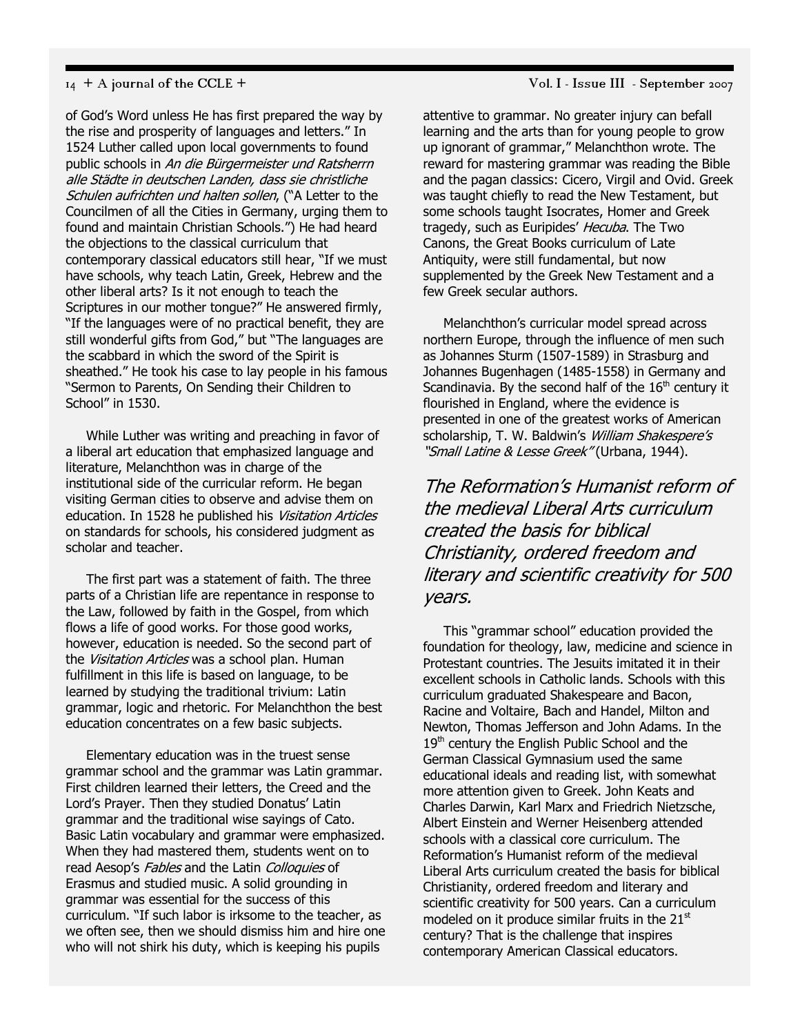of God's Word unless He has first prepared the way by the rise and prosperity of languages and letters." In 1524 Luther called upon local governments to found public schools in An die Bürgermeister und Ratsherrn alle Städte in deutschen Landen, dass sie christliche Schulen aufrichten und halten sollen, ("A Letter to the Councilmen of all the Cities in Germany, urging them to found and maintain Christian Schools.") He had heard the objections to the classical curriculum that contemporary classical educators still hear, "If we must have schools, why teach Latin, Greek, Hebrew and the other liberal arts? Is it not enough to teach the Scriptures in our mother tongue?" He answered firmly, "If the languages were of no practical benefit, they are still wonderful gifts from God," but "The languages are the scabbard in which the sword of the Spirit is sheathed." He took his case to lay people in his famous "Sermon to Parents, On Sending their Children to School" in 1530.

 While Luther was writing and preaching in favor of a liberal art education that emphasized language and literature, Melanchthon was in charge of the institutional side of the curricular reform. He began visiting German cities to observe and advise them on education. In 1528 he published his Visitation Articles on standards for schools, his considered judgment as scholar and teacher.

 The first part was a statement of faith. The three parts of a Christian life are repentance in response to the Law, followed by faith in the Gospel, from which flows a life of good works. For those good works, however, education is needed. So the second part of the Visitation Articles was a school plan. Human fulfillment in this life is based on language, to be learned by studying the traditional trivium: Latin grammar, logic and rhetoric. For Melanchthon the best education concentrates on a few basic subjects.

 Elementary education was in the truest sense grammar school and the grammar was Latin grammar. First children learned their letters, the Creed and the Lord's Prayer. Then they studied Donatus' Latin grammar and the traditional wise sayings of Cato. Basic Latin vocabulary and grammar were emphasized. When they had mastered them, students went on to read Aesop's Fables and the Latin Colloquies of Erasmus and studied music. A solid grounding in grammar was essential for the success of this curriculum. "If such labor is irksome to the teacher, as we often see, then we should dismiss him and hire one who will not shirk his duty, which is keeping his pupils

### 14 + A journal of the CCLE + Vol. I - Issue III - September 2007

attentive to grammar. No greater injury can befall learning and the arts than for young people to grow up ignorant of grammar," Melanchthon wrote. The reward for mastering grammar was reading the Bible and the pagan classics: Cicero, Virgil and Ovid. Greek was taught chiefly to read the New Testament, but some schools taught Isocrates, Homer and Greek tragedy, such as Euripides' Hecuba. The Two Canons, the Great Books curriculum of Late Antiquity, were still fundamental, but now supplemented by the Greek New Testament and a few Greek secular authors.

 Melanchthon's curricular model spread across northern Europe, through the influence of men such as Johannes Sturm (1507-1589) in Strasburg and Johannes Bugenhagen (1485-1558) in Germany and Scandinavia. By the second half of the  $16<sup>th</sup>$  century it flourished in England, where the evidence is presented in one of the greatest works of American scholarship, T. W. Baldwin's William Shakespere's "Small Latine & Lesse Greek" (Urbana, 1944).

The Reformation's Humanist reform of the medieval Liberal Arts curriculum created the basis for biblical Christianity, ordered freedom and literary and scientific creativity for 500 years.

 This "grammar school" education provided the foundation for theology, law, medicine and science in Protestant countries. The Jesuits imitated it in their excellent schools in Catholic lands. Schools with this curriculum graduated Shakespeare and Bacon, Racine and Voltaire, Bach and Handel, Milton and Newton, Thomas Jefferson and John Adams. In the 19<sup>th</sup> century the English Public School and the German Classical Gymnasium used the same educational ideals and reading list, with somewhat more attention given to Greek. John Keats and Charles Darwin, Karl Marx and Friedrich Nietzsche, Albert Einstein and Werner Heisenberg attended schools with a classical core curriculum. The Reformation's Humanist reform of the medieval Liberal Arts curriculum created the basis for biblical Christianity, ordered freedom and literary and scientific creativity for 500 years. Can a curriculum modeled on it produce similar fruits in the  $21<sup>st</sup>$ century? That is the challenge that inspires contemporary American Classical educators.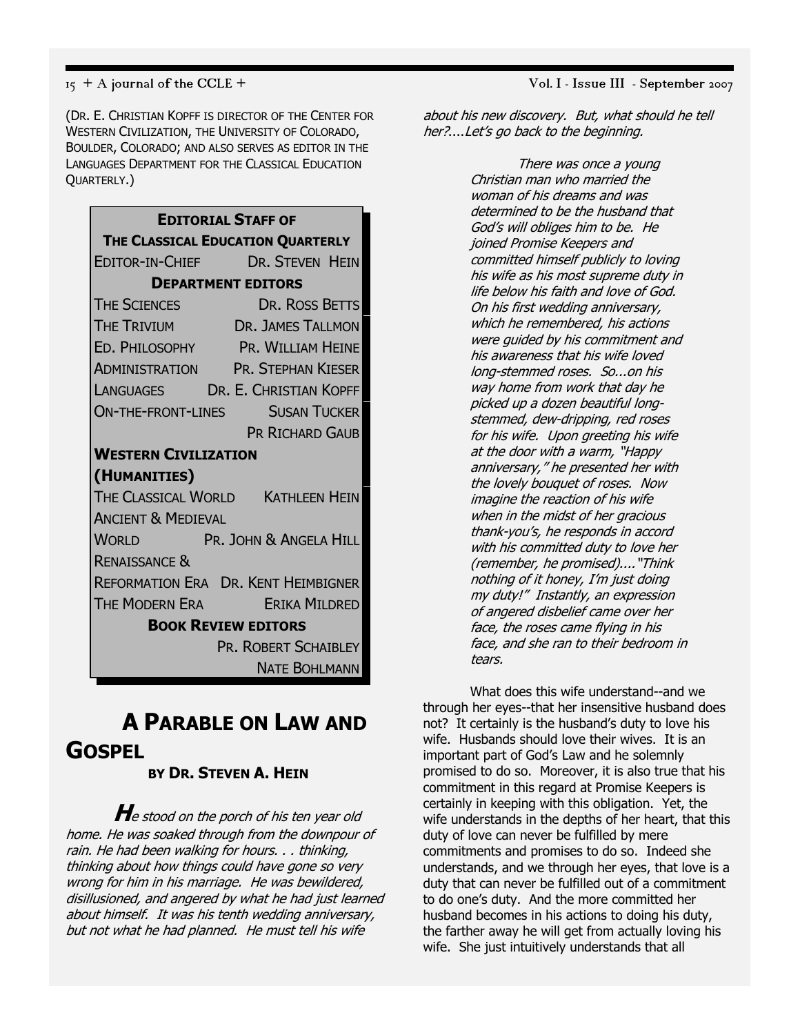(DR. E. CHRISTIAN KOPFF IS DIRECTOR OF THE CENTER FOR WESTERN CIVILIZATION, THE UNIVERSITY OF COLORADO, BOULDER, COLORADO; AND ALSO SERVES AS EDITOR IN THE LANGUAGES DEPARTMENT FOR THE CLASSICAL EDUCATION QUARTERLY.)

| <b>EDITORIAL STAFF OF</b>                         |                        |  |
|---------------------------------------------------|------------------------|--|
| THE CLASSICAL EDUCATION QUARTERLY                 |                        |  |
| EDITOR-IN-CHIEF DR. STEVEN HEIN                   |                        |  |
| <b>DEPARTMENT EDITORS</b>                         |                        |  |
| THE SCIENCES <b>THE SET AND THE SCIENCES</b>      | DR. ROSS BETTS         |  |
| <b>THE TRIVIUM</b>                                | DR. JAMES TALLMON      |  |
| ED. PHILOSOPHY PR. WILLIAM HEINE                  |                        |  |
| ADMINISTRATION PR. STEPHAN KIESER                 |                        |  |
| LANGUAGES DR. E. CHRISTIAN KOPFF                  |                        |  |
| <b>ON-THE-FRONT-LINES SUSAN TUCKER</b>            |                        |  |
|                                                   | <b>PR RICHARD GAUB</b> |  |
| <b>WESTERN CIVILIZATION</b>                       |                        |  |
| (HUMANITIES)                                      |                        |  |
| THE CLASSICAL WORLD KATHLEEN HEIN                 |                        |  |
| <b>ANCIENT &amp; MEDIEVAL</b>                     |                        |  |
| <b>PR. JOHN &amp; ANGELA HILL</b><br><b>WORLD</b> |                        |  |
| <b>RENAISSANCE &amp;</b>                          |                        |  |
| <b>REFORMATION ERA DR. KENT HEIMBIGNER</b>        |                        |  |
| The Modern Era                                    | <b>ERIKA MILDRED</b>   |  |
| <b>BOOK REVIEW EDITORS</b>                        |                        |  |
| PR. ROBERT SCHAIBLEY                              |                        |  |
| Nate Bohlmann                                     |                        |  |

# A PARABLE ON LAW AND **GOSPEL**

# BY DR. STEVEN A. HEIN

He stood on the porch of his ten year old home. He was soaked through from the downpour of rain. He had been walking for hours. . . thinking, thinking about how things could have gone so very wrong for him in his marriage. He was bewildered, disillusioned, and angered by what he had just learned about himself. It was his tenth wedding anniversary, but not what he had planned. He must tell his wife

about his new discovery. But, what should he tell her?....Let's go back to the beginning.

> There was once a young Christian man who married the woman of his dreams and was determined to be the husband that God's will obliges him to be. He joined Promise Keepers and committed himself publicly to loving his wife as his most supreme duty in life below his faith and love of God. On his first wedding anniversary, which he remembered, his actions were guided by his commitment and his awareness that his wife loved long-stemmed roses. So...on his way home from work that day he picked up a dozen beautiful longstemmed, dew-dripping, red roses for his wife. Upon greeting his wife at the door with a warm, "Happy anniversary," he presented her with the lovely bouquet of roses. Now imagine the reaction of his wife when in the midst of her gracious thank-you's, he responds in accord with his committed duty to love her (remember, he promised)...."Think nothing of it honey, I'm just doing my duty!" Instantly, an expression of angered disbelief came over her face, the roses came flying in his face, and she ran to their bedroom in tears.

What does this wife understand--and we through her eyes--that her insensitive husband does not? It certainly is the husband's duty to love his wife. Husbands should love their wives. It is an important part of God's Law and he solemnly promised to do so. Moreover, it is also true that his commitment in this regard at Promise Keepers is certainly in keeping with this obligation. Yet, the wife understands in the depths of her heart, that this duty of love can never be fulfilled by mere commitments and promises to do so. Indeed she understands, and we through her eyes, that love is a duty that can never be fulfilled out of a commitment to do one's duty. And the more committed her husband becomes in his actions to doing his duty, the farther away he will get from actually loving his wife. She just intuitively understands that all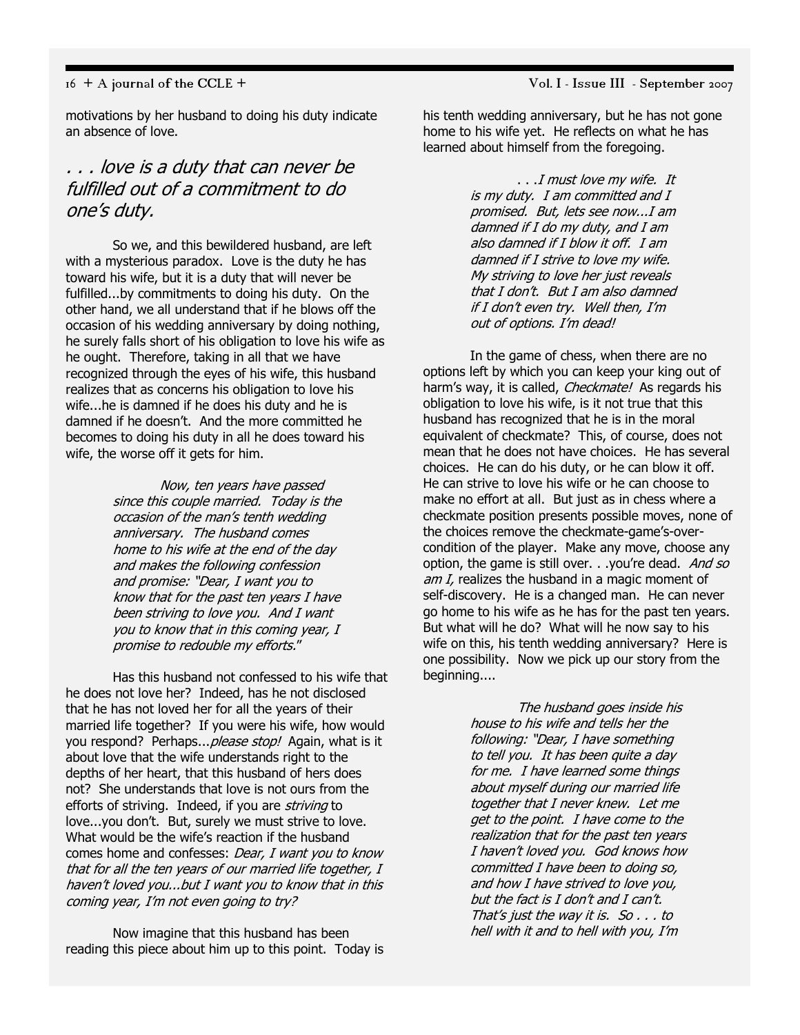motivations by her husband to doing his duty indicate an absence of love.

# . . . love is a duty that can never be fulfilled out of a commitment to do one's duty.

So we, and this bewildered husband, are left with a mysterious paradox. Love is the duty he has toward his wife, but it is a duty that will never be fulfilled...by commitments to doing his duty. On the other hand, we all understand that if he blows off the occasion of his wedding anniversary by doing nothing, he surely falls short of his obligation to love his wife as he ought. Therefore, taking in all that we have recognized through the eyes of his wife, this husband realizes that as concerns his obligation to love his wife...he is damned if he does his duty and he is damned if he doesn't. And the more committed he becomes to doing his duty in all he does toward his wife, the worse off it gets for him.

> Now, ten years have passed since this couple married. Today is the occasion of the man's tenth wedding anniversary. The husband comes home to his wife at the end of the day and makes the following confession and promise: "Dear, I want you to know that for the past ten years I have been striving to love you. And I want you to know that in this coming year, I promise to redouble my efforts."

Has this husband not confessed to his wife that he does not love her? Indeed, has he not disclosed that he has not loved her for all the years of their married life together? If you were his wife, how would you respond? Perhaps... *please stop!* Again, what is it about love that the wife understands right to the depths of her heart, that this husband of hers does not? She understands that love is not ours from the efforts of striving. Indeed, if you are *striving* to love...you don't. But, surely we must strive to love. What would be the wife's reaction if the husband comes home and confesses: *Dear, I want you to know* that for all the ten years of our married life together, I haven't loved you...but I want you to know that in this coming year, I'm not even going to try?

Now imagine that this husband has been reading this piece about him up to this point. Today is

his tenth wedding anniversary, but he has not gone home to his wife yet. He reflects on what he has learned about himself from the foregoing.

> . . .I must love my wife. It is my duty. I am committed and I promised. But, lets see now...I am damned if I do my duty, and I am also damned if I blow it off. I am damned if I strive to love my wife. My striving to love her just reveals that I don't. But I am also damned if I don't even try. Well then, I'm out of options. I'm dead!

In the game of chess, when there are no options left by which you can keep your king out of harm's way, it is called, *Checkmate!* As regards his obligation to love his wife, is it not true that this husband has recognized that he is in the moral equivalent of checkmate? This, of course, does not mean that he does not have choices. He has several choices. He can do his duty, or he can blow it off. He can strive to love his wife or he can choose to make no effort at all. But just as in chess where a checkmate position presents possible moves, none of the choices remove the checkmate-game's-overcondition of the player. Make any move, choose any option, the game is still over. . .you're dead. And so am I, realizes the husband in a magic moment of self-discovery. He is a changed man. He can never go home to his wife as he has for the past ten years. But what will he do? What will he now say to his wife on this, his tenth wedding anniversary? Here is one possibility. Now we pick up our story from the beginning....

> The husband goes inside his house to his wife and tells her the following: "Dear, I have something to tell you. It has been quite a day for me. I have learned some things about myself during our married life together that I never knew. Let me get to the point. I have come to the realization that for the past ten years I haven't loved you. God knows how committed I have been to doing so, and how I have strived to love you, but the fact is I don't and I can't. That's just the way it is. So . . . to hell with it and to hell with you, I'm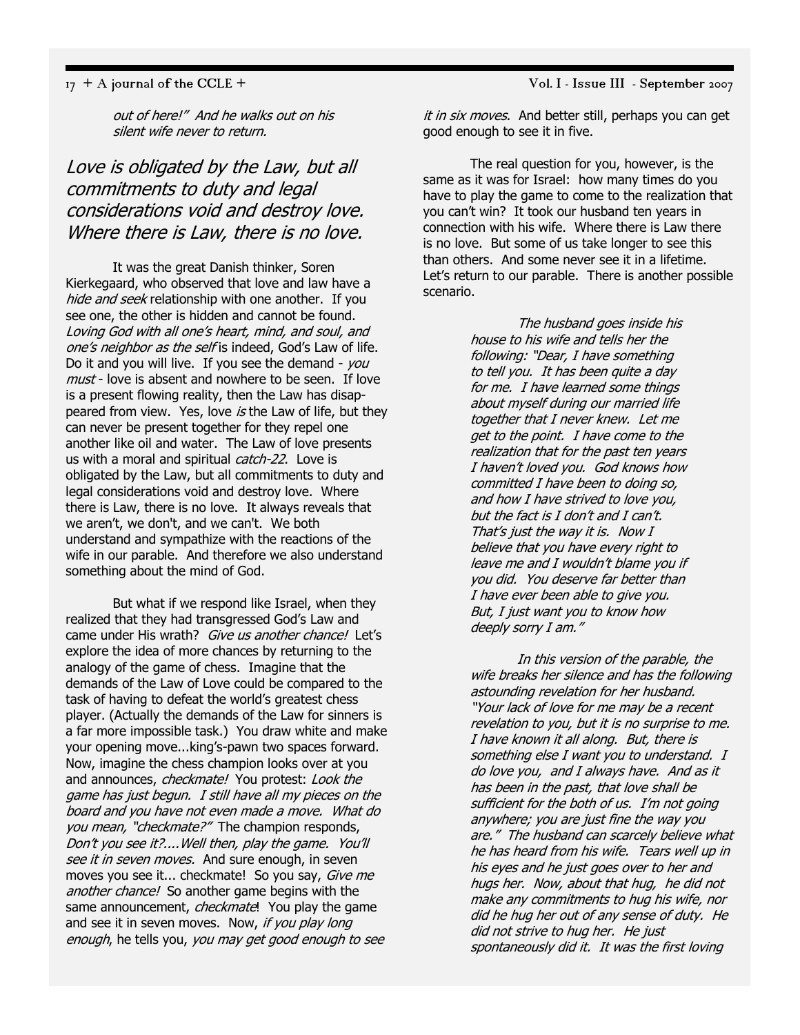out of here!" And he walks out on his silent wife never to return.

Love is obligated by the Law, but all commitments to duty and legal considerations void and destroy love. Where there is Law, there is no love.

It was the great Danish thinker, Soren Kierkegaard, who observed that love and law have a hide and seek relationship with one another. If you see one, the other is hidden and cannot be found. Loving God with all one's heart, mind, and soul, and one's neighbor as the self is indeed, God's Law of life. Do it and you will live. If you see the demand - you must - love is absent and nowhere to be seen. If love is a present flowing reality, then the Law has disappeared from view. Yes, love is the Law of life, but they can never be present together for they repel one another like oil and water. The Law of love presents us with a moral and spiritual catch-22. Love is obligated by the Law, but all commitments to duty and legal considerations void and destroy love. Where there is Law, there is no love. It always reveals that we aren't, we don't, and we can't. We both understand and sympathize with the reactions of the wife in our parable. And therefore we also understand something about the mind of God.

But what if we respond like Israel, when they realized that they had transgressed God's Law and came under His wrath? Give us another chance! Let's explore the idea of more chances by returning to the analogy of the game of chess. Imagine that the demands of the Law of Love could be compared to the task of having to defeat the world's greatest chess player. (Actually the demands of the Law for sinners is a far more impossible task.) You draw white and make your opening move...king's-pawn two spaces forward. Now, imagine the chess champion looks over at you and announces, checkmate! You protest: Look the game has just begun. I still have all my pieces on the board and you have not even made a move. What do you mean, "checkmate?" The champion responds, Don't you see it?....Well then, play the game. You'll see it in seven moves. And sure enough, in seven moves you see it... checkmate! So you say, Give me another chance! So another game begins with the same announcement, *checkmate*! You play the game and see it in seven moves. Now, if you play long enough, he tells you, you may get good enough to see

it in six moves. And better still, perhaps you can get good enough to see it in five.

The real question for you, however, is the same as it was for Israel: how many times do you have to play the game to come to the realization that you can't win? It took our husband ten years in connection with his wife. Where there is Law there is no love. But some of us take longer to see this than others. And some never see it in a lifetime. Let's return to our parable. There is another possible scenario.

> The husband goes inside his house to his wife and tells her the following: "Dear, I have something to tell you. It has been quite a day for me. I have learned some things about myself during our married life together that I never knew. Let me get to the point. I have come to the realization that for the past ten years I haven't loved you. God knows how committed I have been to doing so, and how I have strived to love you, but the fact is I don't and I can't. That's just the way it is. Now I believe that you have every right to leave me and I wouldn't blame you if you did. You deserve far better than I have ever been able to give you. But, I just want you to know how deeply sorry I am."

In this version of the parable, the wife breaks her silence and has the following astounding revelation for her husband. "Your lack of love for me may be a recent revelation to you, but it is no surprise to me. I have known it all along. But, there is something else I want you to understand. I do love you, and I always have. And as it has been in the past, that love shall be sufficient for the both of us. I'm not going anywhere; you are just fine the way you are." The husband can scarcely believe what he has heard from his wife. Tears well up in his eyes and he just goes over to her and hugs her. Now, about that hug, he did not make any commitments to hug his wife, nor did he hug her out of any sense of duty. He did not strive to hug her. He just spontaneously did it. It was the first loving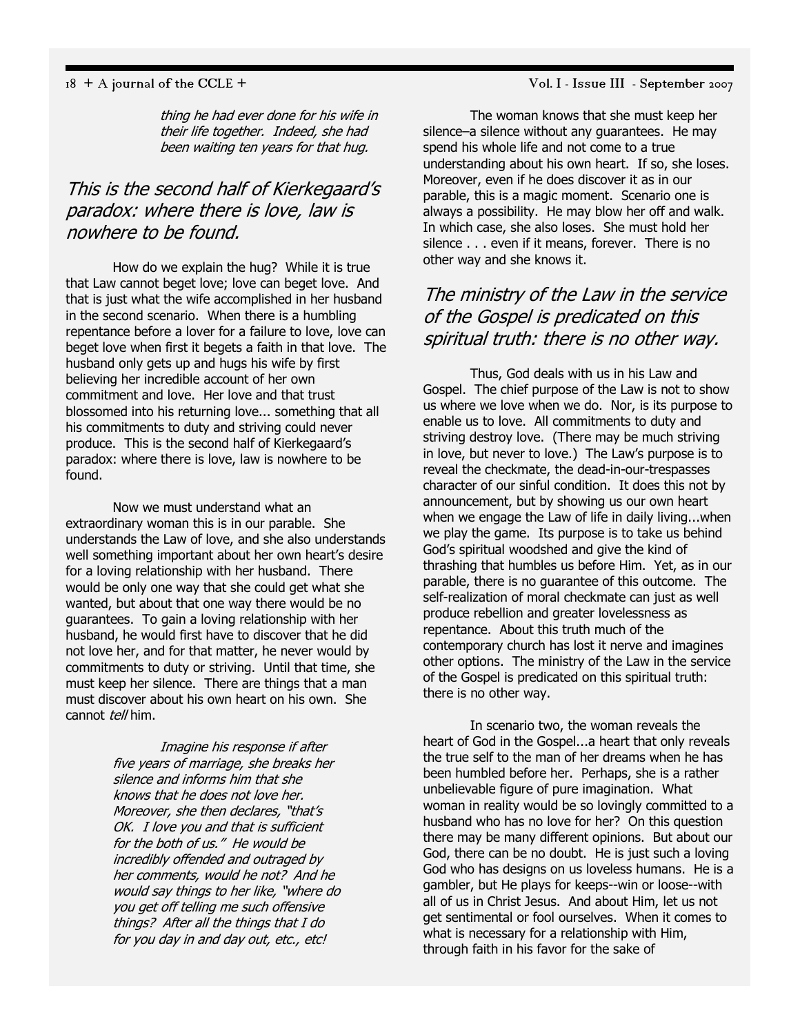thing he had ever done for his wife in their life together. Indeed, she had been waiting ten years for that hug.

# This is the second half of Kierkegaard's paradox: where there is love, law is nowhere to be found.

How do we explain the hug? While it is true that Law cannot beget love; love can beget love. And that is just what the wife accomplished in her husband in the second scenario. When there is a humbling repentance before a lover for a failure to love, love can beget love when first it begets a faith in that love. The husband only gets up and hugs his wife by first believing her incredible account of her own commitment and love. Her love and that trust blossomed into his returning love... something that all his commitments to duty and striving could never produce. This is the second half of Kierkegaard's paradox: where there is love, law is nowhere to be found.

Now we must understand what an extraordinary woman this is in our parable. She understands the Law of love, and she also understands well something important about her own heart's desire for a loving relationship with her husband. There would be only one way that she could get what she wanted, but about that one way there would be no guarantees. To gain a loving relationship with her husband, he would first have to discover that he did not love her, and for that matter, he never would by commitments to duty or striving. Until that time, she must keep her silence. There are things that a man must discover about his own heart on his own. She cannot *tell* him.

> Imagine his response if after five years of marriage, she breaks her silence and informs him that she knows that he does not love her. Moreover, she then declares, "that's OK. I love you and that is sufficient for the both of us." He would be incredibly offended and outraged by her comments, would he not? And he would say things to her like, "where do you get off telling me such offensive things? After all the things that I do for you day in and day out, etc., etc!

### 18 + A journal of the CCLE + Vol. I - Issue III - September 2007

The woman knows that she must keep her silence–a silence without any guarantees. He may spend his whole life and not come to a true understanding about his own heart. If so, she loses. Moreover, even if he does discover it as in our parable, this is a magic moment. Scenario one is always a possibility. He may blow her off and walk. In which case, she also loses. She must hold her silence . . . even if it means, forever. There is no other way and she knows it.

# The ministry of the Law in the service of the Gospel is predicated on this spiritual truth: there is no other way.

Thus, God deals with us in his Law and Gospel. The chief purpose of the Law is not to show us where we love when we do. Nor, is its purpose to enable us to love. All commitments to duty and striving destroy love. (There may be much striving in love, but never to love.) The Law's purpose is to reveal the checkmate, the dead-in-our-trespasses character of our sinful condition. It does this not by announcement, but by showing us our own heart when we engage the Law of life in daily living...when we play the game. Its purpose is to take us behind God's spiritual woodshed and give the kind of thrashing that humbles us before Him. Yet, as in our parable, there is no guarantee of this outcome. The self-realization of moral checkmate can just as well produce rebellion and greater lovelessness as repentance. About this truth much of the contemporary church has lost it nerve and imagines other options. The ministry of the Law in the service of the Gospel is predicated on this spiritual truth: there is no other way.

In scenario two, the woman reveals the heart of God in the Gospel...a heart that only reveals the true self to the man of her dreams when he has been humbled before her. Perhaps, she is a rather unbelievable figure of pure imagination. What woman in reality would be so lovingly committed to a husband who has no love for her? On this question there may be many different opinions. But about our God, there can be no doubt. He is just such a loving God who has designs on us loveless humans. He is a gambler, but He plays for keeps--win or loose--with all of us in Christ Jesus. And about Him, let us not get sentimental or fool ourselves. When it comes to what is necessary for a relationship with Him, through faith in his favor for the sake of